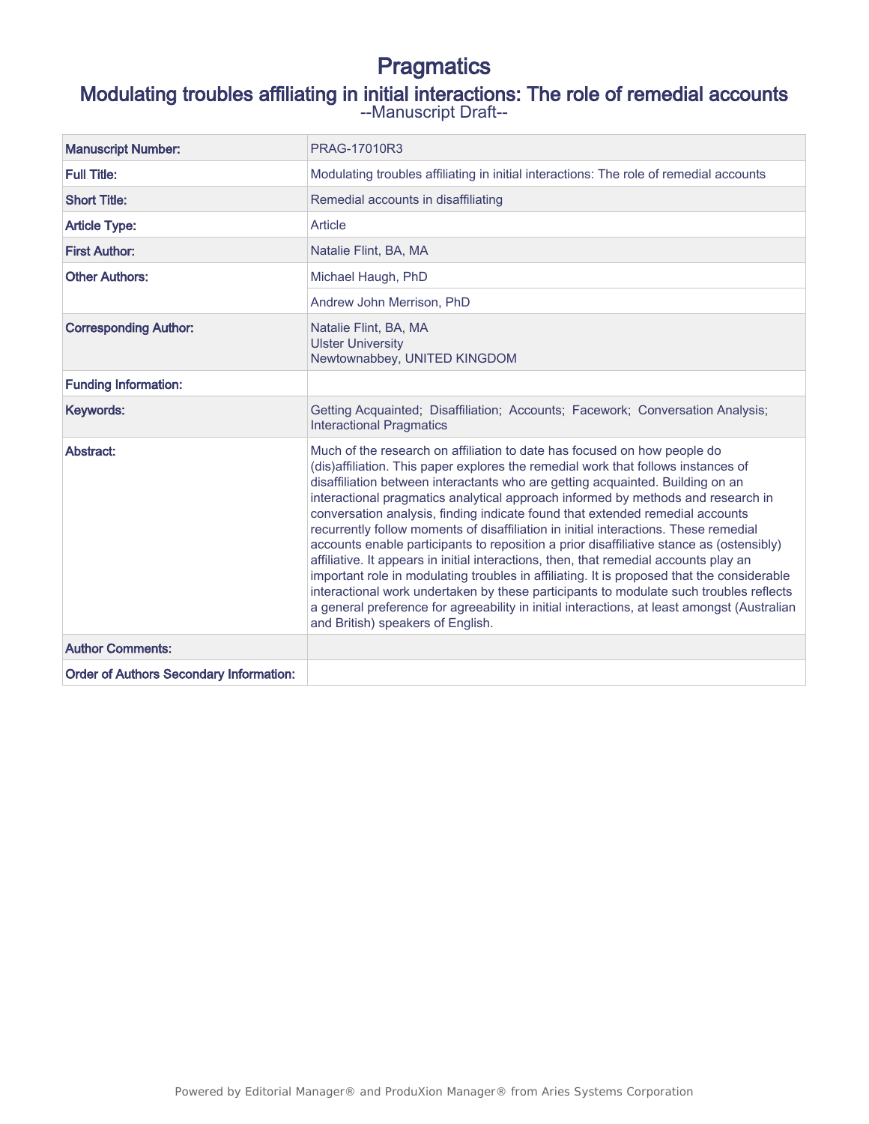# **Pragmatics**

## Modulating troubles affiliating in initial interactions: The role of remedial accounts

--Manuscript Draft--

| <b>Manuscript Number:</b>                      | PRAG-17010R3                                                                                                                                                                                                                                                                                                                                                                                                                                                                                                                                                                                                                                                                                                                                                                                                                                                                                                                                                                                                                  |
|------------------------------------------------|-------------------------------------------------------------------------------------------------------------------------------------------------------------------------------------------------------------------------------------------------------------------------------------------------------------------------------------------------------------------------------------------------------------------------------------------------------------------------------------------------------------------------------------------------------------------------------------------------------------------------------------------------------------------------------------------------------------------------------------------------------------------------------------------------------------------------------------------------------------------------------------------------------------------------------------------------------------------------------------------------------------------------------|
| <b>Full Title:</b>                             | Modulating troubles affiliating in initial interactions: The role of remedial accounts                                                                                                                                                                                                                                                                                                                                                                                                                                                                                                                                                                                                                                                                                                                                                                                                                                                                                                                                        |
| <b>Short Title:</b>                            | Remedial accounts in disaffiliating                                                                                                                                                                                                                                                                                                                                                                                                                                                                                                                                                                                                                                                                                                                                                                                                                                                                                                                                                                                           |
| <b>Article Type:</b>                           | Article                                                                                                                                                                                                                                                                                                                                                                                                                                                                                                                                                                                                                                                                                                                                                                                                                                                                                                                                                                                                                       |
| <b>First Author:</b>                           | Natalie Flint, BA, MA                                                                                                                                                                                                                                                                                                                                                                                                                                                                                                                                                                                                                                                                                                                                                                                                                                                                                                                                                                                                         |
| <b>Other Authors:</b>                          | Michael Haugh, PhD                                                                                                                                                                                                                                                                                                                                                                                                                                                                                                                                                                                                                                                                                                                                                                                                                                                                                                                                                                                                            |
|                                                | Andrew John Merrison, PhD                                                                                                                                                                                                                                                                                                                                                                                                                                                                                                                                                                                                                                                                                                                                                                                                                                                                                                                                                                                                     |
| <b>Corresponding Author:</b>                   | Natalie Flint, BA, MA<br><b>Ulster University</b><br>Newtownabbey, UNITED KINGDOM                                                                                                                                                                                                                                                                                                                                                                                                                                                                                                                                                                                                                                                                                                                                                                                                                                                                                                                                             |
| <b>Funding Information:</b>                    |                                                                                                                                                                                                                                                                                                                                                                                                                                                                                                                                                                                                                                                                                                                                                                                                                                                                                                                                                                                                                               |
| Keywords:                                      | Getting Acquainted; Disaffiliation; Accounts; Facework; Conversation Analysis;<br><b>Interactional Pragmatics</b>                                                                                                                                                                                                                                                                                                                                                                                                                                                                                                                                                                                                                                                                                                                                                                                                                                                                                                             |
| Abstract:                                      | Much of the research on affiliation to date has focused on how people do<br>(dis)affiliation. This paper explores the remedial work that follows instances of<br>disaffiliation between interactants who are getting acquainted. Building on an<br>interactional pragmatics analytical approach informed by methods and research in<br>conversation analysis, finding indicate found that extended remedial accounts<br>recurrently follow moments of disaffiliation in initial interactions. These remedial<br>accounts enable participants to reposition a prior disaffiliative stance as (ostensibly)<br>affiliative. It appears in initial interactions, then, that remedial accounts play an<br>important role in modulating troubles in affiliating. It is proposed that the considerable<br>interactional work undertaken by these participants to modulate such troubles reflects<br>a general preference for agreeability in initial interactions, at least amongst (Australian<br>and British) speakers of English. |
| <b>Author Comments:</b>                        |                                                                                                                                                                                                                                                                                                                                                                                                                                                                                                                                                                                                                                                                                                                                                                                                                                                                                                                                                                                                                               |
| <b>Order of Authors Secondary Information:</b> |                                                                                                                                                                                                                                                                                                                                                                                                                                                                                                                                                                                                                                                                                                                                                                                                                                                                                                                                                                                                                               |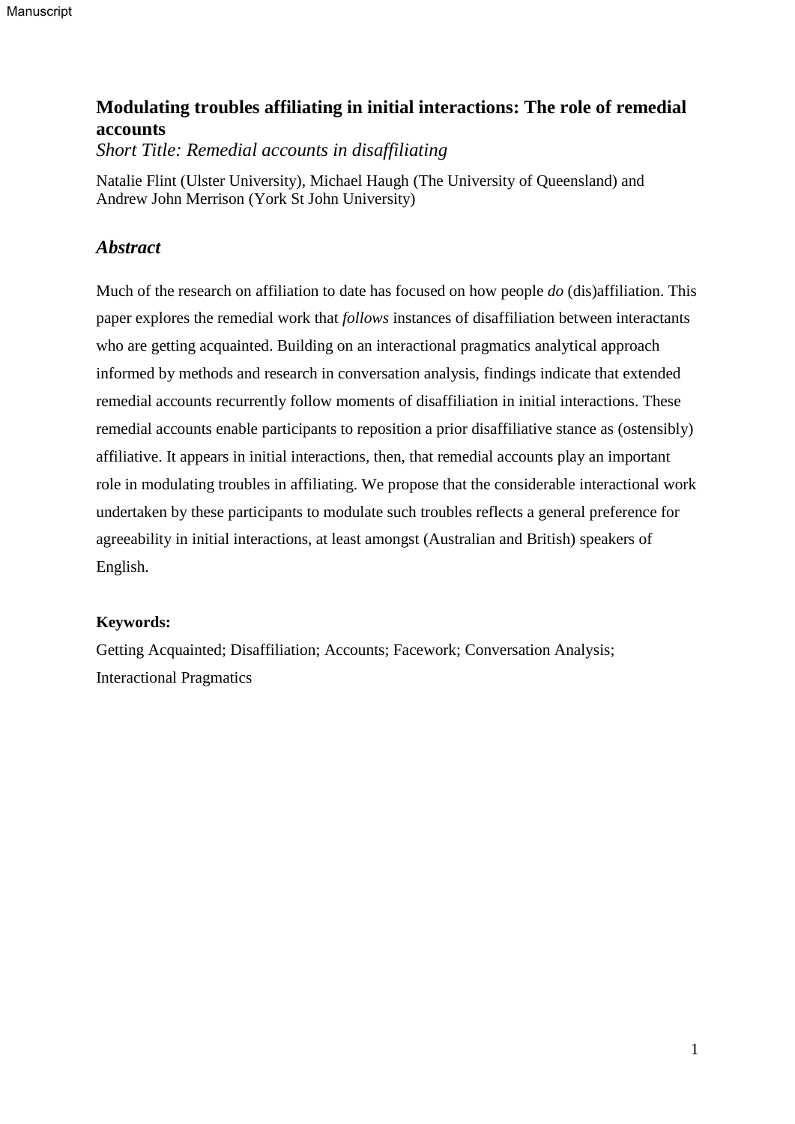## **Modulating troubles affiliating in initial interactions: The role of remedial accounts**

*Short Title: Remedial accounts in disaffiliating*

Natalie Flint (Ulster University), Michael Haugh (The University of Queensland) and Andrew John Merrison (York St John University)

## *Abstract*

Much of the research on affiliation to date has focused on how people *do* (dis)affiliation. This paper explores the remedial work that *follows* instances of disaffiliation between interactants who are getting acquainted. Building on an interactional pragmatics analytical approach informed by methods and research in conversation analysis, findings indicate that extended remedial accounts recurrently follow moments of disaffiliation in initial interactions. These remedial accounts enable participants to reposition a prior disaffiliative stance as (ostensibly) affiliative. It appears in initial interactions, then, that remedial accounts play an important role in modulating troubles in affiliating. We propose that the considerable interactional work undertaken by these participants to modulate such troubles reflects a general preference for agreeability in initial interactions, at least amongst (Australian and British) speakers of English.

## **Keywords:**

Getting Acquainted; Disaffiliation; Accounts; Facework; Conversation Analysis; Interactional Pragmatics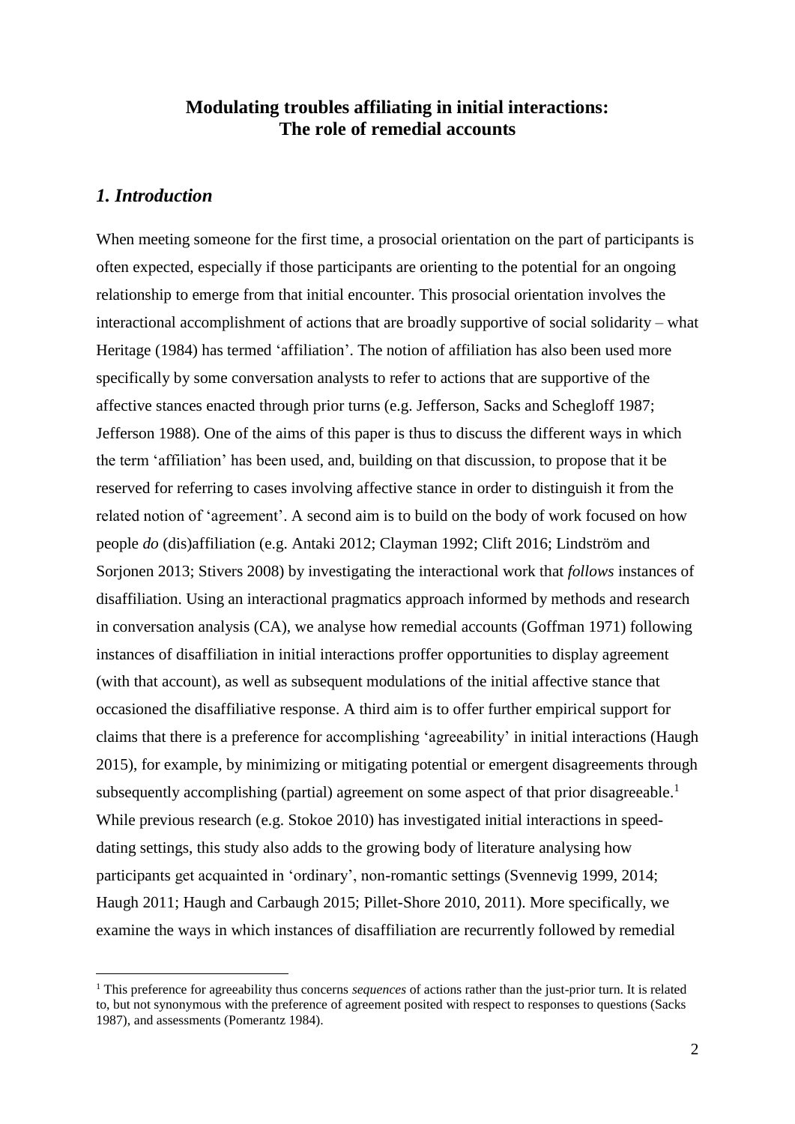## **Modulating troubles affiliating in initial interactions: The role of remedial accounts**

## *1. Introduction*

<u>.</u>

When meeting someone for the first time, a prosocial orientation on the part of participants is often expected, especially if those participants are orienting to the potential for an ongoing relationship to emerge from that initial encounter. This prosocial orientation involves the interactional accomplishment of actions that are broadly supportive of social solidarity – what Heritage (1984) has termed 'affiliation'. The notion of affiliation has also been used more specifically by some conversation analysts to refer to actions that are supportive of the affective stances enacted through prior turns (e.g. Jefferson, Sacks and Schegloff 1987; Jefferson 1988). One of the aims of this paper is thus to discuss the different ways in which the term 'affiliation' has been used, and, building on that discussion, to propose that it be reserved for referring to cases involving affective stance in order to distinguish it from the related notion of 'agreement'. A second aim is to build on the body of work focused on how people *do* (dis)affiliation (e.g. Antaki 2012; Clayman 1992; Clift 2016; Lindström and Sorjonen 2013; Stivers 2008) by investigating the interactional work that *follows* instances of disaffiliation. Using an interactional pragmatics approach informed by methods and research in conversation analysis (CA), we analyse how remedial accounts (Goffman 1971) following instances of disaffiliation in initial interactions proffer opportunities to display agreement (with that account), as well as subsequent modulations of the initial affective stance that occasioned the disaffiliative response. A third aim is to offer further empirical support for claims that there is a preference for accomplishing 'agreeability' in initial interactions (Haugh 2015), for example, by minimizing or mitigating potential or emergent disagreements through subsequently accomplishing (partial) agreement on some aspect of that prior disagreeable.<sup>1</sup> While previous research (e.g. Stokoe 2010) has investigated initial interactions in speeddating settings, this study also adds to the growing body of literature analysing how participants get acquainted in 'ordinary', non-romantic settings (Svennevig 1999, 2014; Haugh 2011; Haugh and Carbaugh 2015; Pillet-Shore 2010, 2011). More specifically, we examine the ways in which instances of disaffiliation are recurrently followed by remedial

<sup>1</sup> This preference for agreeability thus concerns *sequences* of actions rather than the just-prior turn. It is related to, but not synonymous with the preference of agreement posited with respect to responses to questions (Sacks 1987), and assessments (Pomerantz 1984).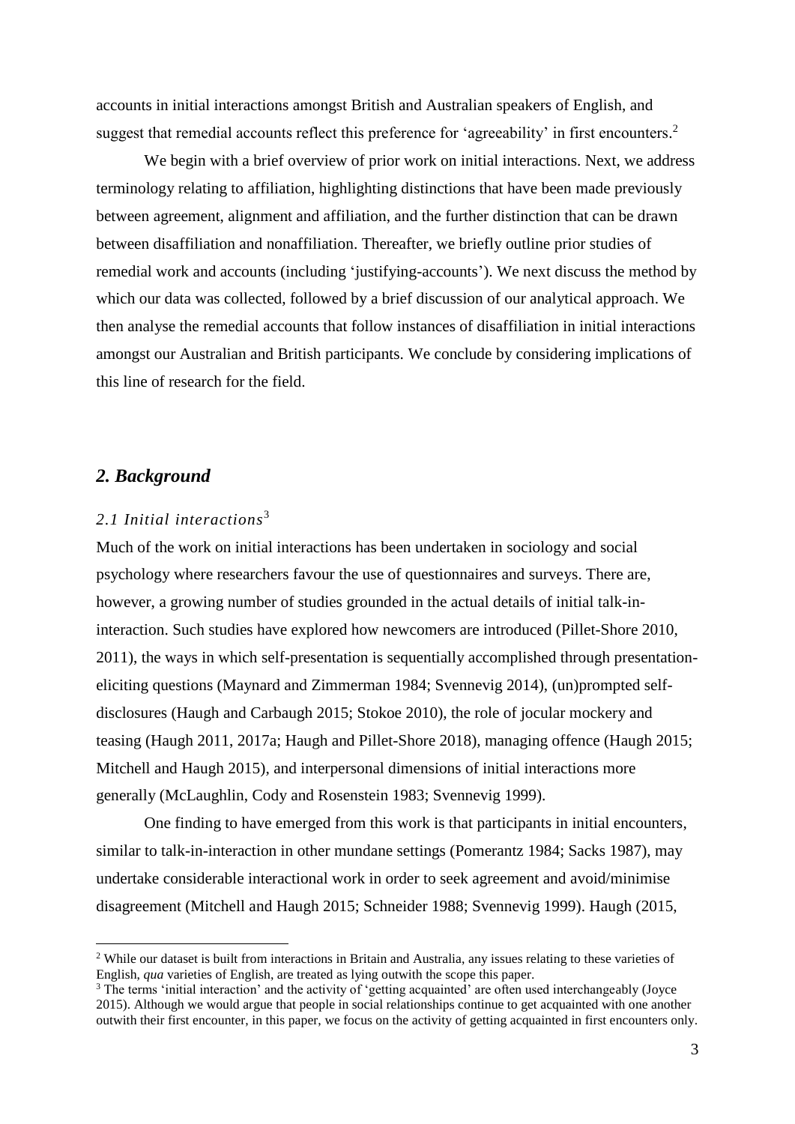accounts in initial interactions amongst British and Australian speakers of English, and suggest that remedial accounts reflect this preference for 'agreeability' in first encounters.<sup>2</sup>

We begin with a brief overview of prior work on initial interactions. Next, we address terminology relating to affiliation, highlighting distinctions that have been made previously between agreement, alignment and affiliation, and the further distinction that can be drawn between disaffiliation and nonaffiliation. Thereafter, we briefly outline prior studies of remedial work and accounts (including 'justifying-accounts'). We next discuss the method by which our data was collected, followed by a brief discussion of our analytical approach. We then analyse the remedial accounts that follow instances of disaffiliation in initial interactions amongst our Australian and British participants. We conclude by considering implications of this line of research for the field.

## *2. Background*

<u>.</u>

### *2.1 Initial interactions*<sup>3</sup>

Much of the work on initial interactions has been undertaken in sociology and social psychology where researchers favour the use of questionnaires and surveys. There are, however, a growing number of studies grounded in the actual details of initial talk-ininteraction. Such studies have explored how newcomers are introduced (Pillet-Shore 2010, 2011), the ways in which self-presentation is sequentially accomplished through presentationeliciting questions (Maynard and Zimmerman 1984; Svennevig 2014), (un)prompted selfdisclosures (Haugh and Carbaugh 2015; Stokoe 2010), the role of jocular mockery and teasing (Haugh 2011, 2017a; Haugh and Pillet-Shore 2018), managing offence (Haugh 2015; Mitchell and Haugh 2015), and interpersonal dimensions of initial interactions more generally (McLaughlin, Cody and Rosenstein 1983; Svennevig 1999).

One finding to have emerged from this work is that participants in initial encounters, similar to talk-in-interaction in other mundane settings (Pomerantz 1984; Sacks 1987), may undertake considerable interactional work in order to seek agreement and avoid/minimise disagreement (Mitchell and Haugh 2015; Schneider 1988; Svennevig 1999). Haugh (2015,

<sup>2</sup> While our dataset is built from interactions in Britain and Australia, any issues relating to these varieties of English, *qua* varieties of English, are treated as lying outwith the scope this paper.

<sup>&</sup>lt;sup>3</sup> The terms 'initial interaction' and the activity of 'getting acquainted' are often used interchangeably (Joyce 2015). Although we would argue that people in social relationships continue to get acquainted with one another outwith their first encounter, in this paper, we focus on the activity of getting acquainted in first encounters only.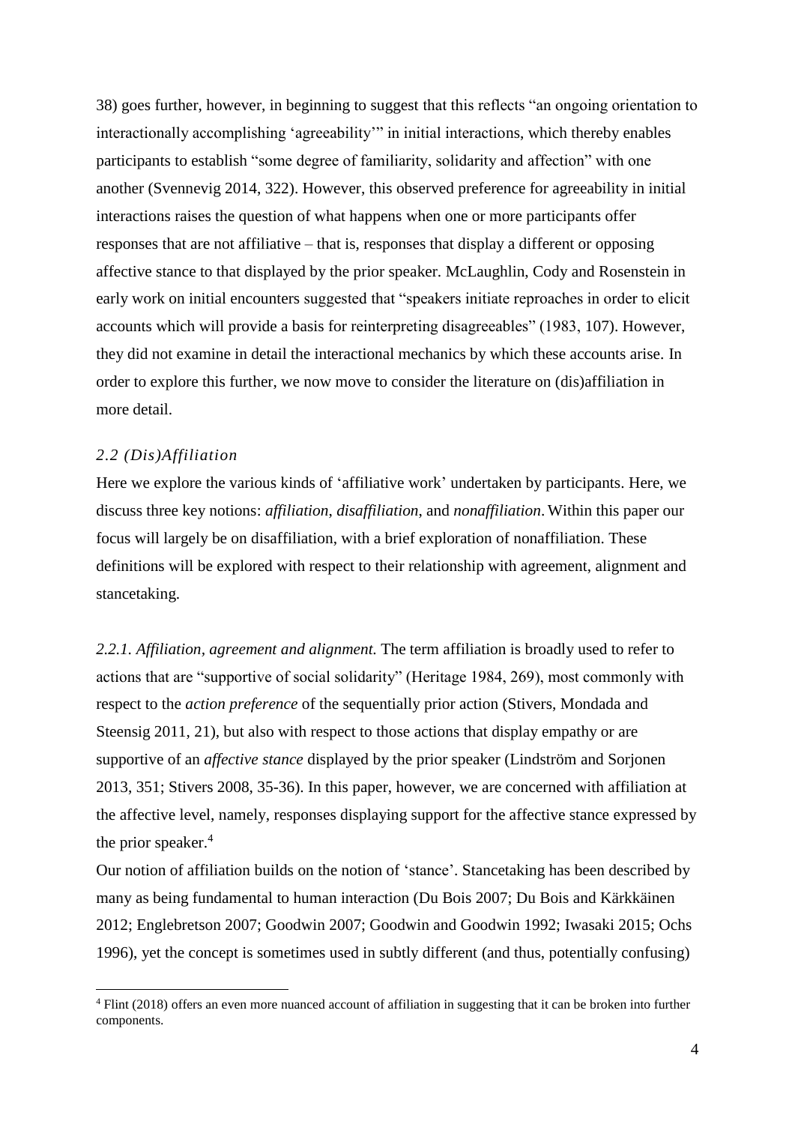38) goes further, however, in beginning to suggest that this reflects "an ongoing orientation to interactionally accomplishing 'agreeability'" in initial interactions, which thereby enables participants to establish "some degree of familiarity, solidarity and affection" with one another (Svennevig 2014, 322). However, this observed preference for agreeability in initial interactions raises the question of what happens when one or more participants offer responses that are not affiliative – that is, responses that display a different or opposing affective stance to that displayed by the prior speaker. McLaughlin, Cody and Rosenstein in early work on initial encounters suggested that "speakers initiate reproaches in order to elicit accounts which will provide a basis for reinterpreting disagreeables" (1983, 107). However, they did not examine in detail the interactional mechanics by which these accounts arise. In order to explore this further, we now move to consider the literature on (dis)affiliation in more detail.

#### *2.2 (Dis)Affiliation*

1

Here we explore the various kinds of 'affiliative work' undertaken by participants. Here, we discuss three key notions: *affiliation*, *disaffiliation*, and *nonaffiliation*. Within this paper our focus will largely be on disaffiliation, with a brief exploration of nonaffiliation. These definitions will be explored with respect to their relationship with agreement, alignment and stancetaking.

*2.2.1. Affiliation, agreement and alignment.* The term affiliation is broadly used to refer to actions that are "supportive of social solidarity" (Heritage 1984, 269), most commonly with respect to the *action preference* of the sequentially prior action (Stivers, Mondada and Steensig 2011, 21), but also with respect to those actions that display empathy or are supportive of an *affective stance* displayed by the prior speaker (Lindström and Sorjonen 2013, 351; Stivers 2008, 35-36). In this paper, however, we are concerned with affiliation at the affective level, namely, responses displaying support for the affective stance expressed by the prior speaker.<sup>4</sup>

Our notion of affiliation builds on the notion of 'stance'. Stancetaking has been described by many as being fundamental to human interaction (Du Bois 2007; Du Bois and Kärkkäinen 2012; Englebretson 2007; Goodwin 2007; Goodwin and Goodwin 1992; Iwasaki 2015; Ochs 1996), yet the concept is sometimes used in subtly different (and thus, potentially confusing)

<sup>4</sup> Flint (2018) offers an even more nuanced account of affiliation in suggesting that it can be broken into further components.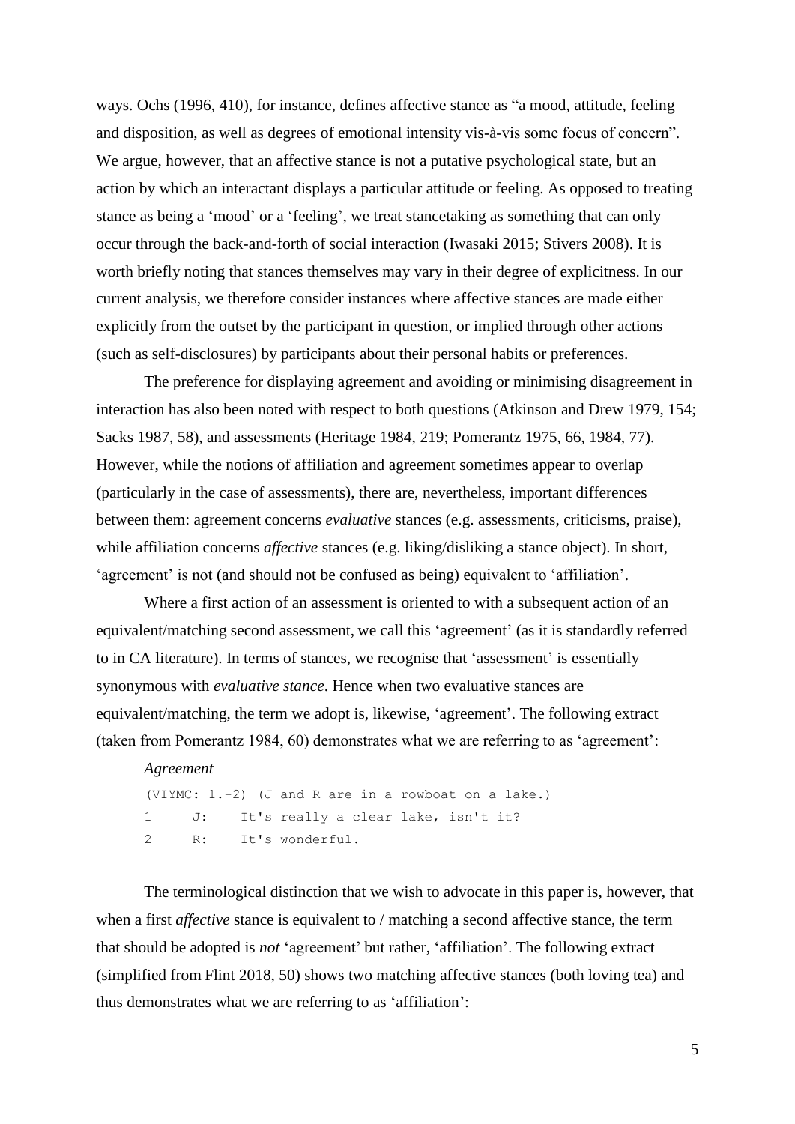ways. Ochs (1996, 410), for instance, defines affective stance as "a mood, attitude, feeling and disposition, as well as degrees of emotional intensity vis-à-vis some focus of concern". We argue, however, that an affective stance is not a putative psychological state, but an action by which an interactant displays a particular attitude or feeling. As opposed to treating stance as being a 'mood' or a 'feeling', we treat stancetaking as something that can only occur through the back-and-forth of social interaction (Iwasaki 2015; Stivers 2008). It is worth briefly noting that stances themselves may vary in their degree of explicitness. In our current analysis, we therefore consider instances where affective stances are made either explicitly from the outset by the participant in question, or implied through other actions (such as self-disclosures) by participants about their personal habits or preferences.

The preference for displaying agreement and avoiding or minimising disagreement in interaction has also been noted with respect to both questions (Atkinson and Drew 1979, 154; Sacks 1987, 58), and assessments (Heritage 1984, 219; Pomerantz 1975, 66, 1984, 77). However, while the notions of affiliation and agreement sometimes appear to overlap (particularly in the case of assessments), there are, nevertheless, important differences between them: agreement concerns *evaluative* stances (e.g. assessments, criticisms, praise), while affiliation concerns *affective* stances (e.g. liking/disliking a stance object). In short, 'agreement' is not (and should not be confused as being) equivalent to 'affiliation'.

Where a first action of an assessment is oriented to with a subsequent action of an equivalent/matching second assessment, we call this 'agreement' (as it is standardly referred to in CA literature). In terms of stances, we recognise that 'assessment' is essentially synonymous with *evaluative stance*. Hence when two evaluative stances are equivalent/matching, the term we adopt is, likewise, 'agreement'. The following extract (taken from Pomerantz 1984, 60) demonstrates what we are referring to as 'agreement':

```
Agreement
(VIYMC: 1.-2) (J and R are in a rowboat on a lake.)
1 J: It's really a clear lake, isn't it?
2 R: It's wonderful.
```
The terminological distinction that we wish to advocate in this paper is, however, that when a first *affective* stance is equivalent to / matching a second affective stance, the term that should be adopted is *not* 'agreement' but rather, 'affiliation'. The following extract (simplified from Flint 2018, 50) shows two matching affective stances (both loving tea) and thus demonstrates what we are referring to as 'affiliation':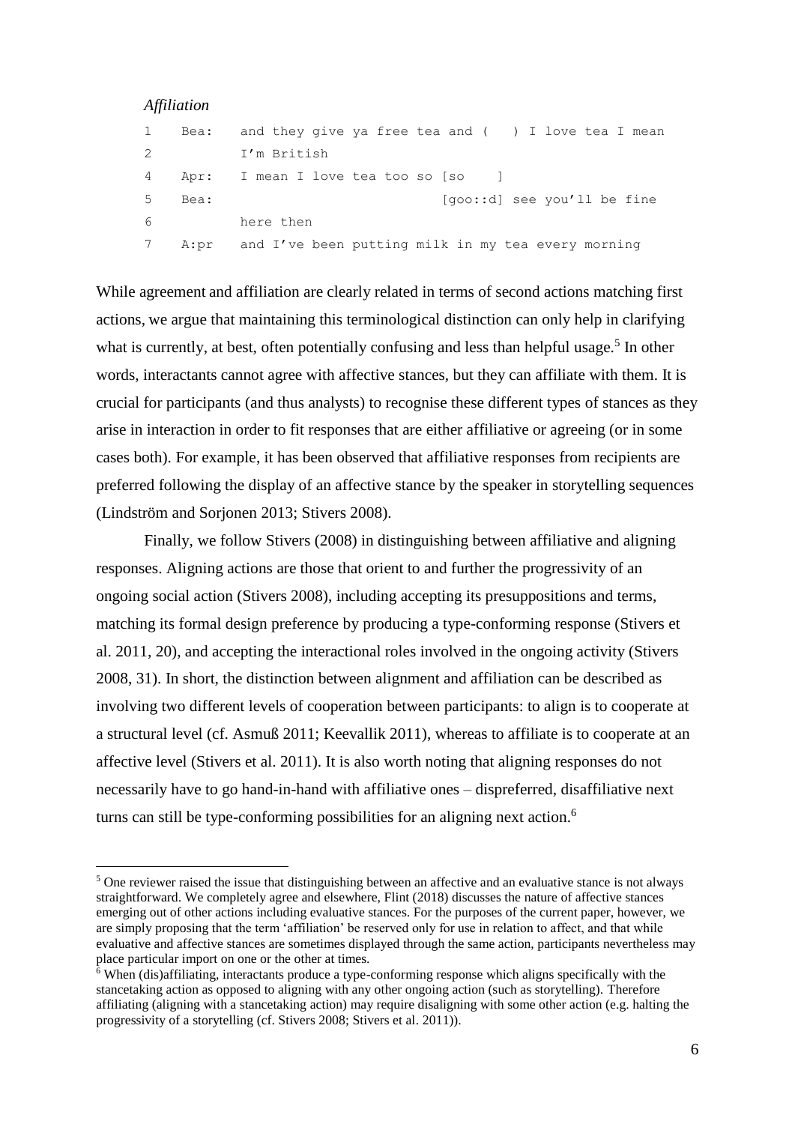#### *Affiliation*

1

| $\mathbf{1}$ | Bea:   | and they give ya free tea and $($ $)$ I love tea I mean |
|--------------|--------|---------------------------------------------------------|
| $\mathbf{2}$ |        | I'm British                                             |
|              | 4 Apr: | I mean I love tea too so [so ]                          |
| 5            | Bea:   | [qoo::d] see you'll be fine                             |
| 6            |        | here then                                               |
| 7            |        | A:pr and I've been putting milk in my tea every morning |

While agreement and affiliation are clearly related in terms of second actions matching first actions, we argue that maintaining this terminological distinction can only help in clarifying what is currently, at best, often potentially confusing and less than helpful usage.<sup>5</sup> In other words, interactants cannot agree with affective stances, but they can affiliate with them. It is crucial for participants (and thus analysts) to recognise these different types of stances as they arise in interaction in order to fit responses that are either affiliative or agreeing (or in some cases both). For example, it has been observed that affiliative responses from recipients are preferred following the display of an affective stance by the speaker in storytelling sequences (Lindström and Sorjonen 2013; Stivers 2008).

Finally, we follow Stivers (2008) in distinguishing between affiliative and aligning responses. Aligning actions are those that orient to and further the progressivity of an ongoing social action (Stivers 2008), including accepting its presuppositions and terms, matching its formal design preference by producing a type-conforming response (Stivers et al. 2011, 20), and accepting the interactional roles involved in the ongoing activity (Stivers 2008, 31). In short, the distinction between alignment and affiliation can be described as involving two different levels of cooperation between participants: to align is to cooperate at a structural level (cf. Asmuß 2011; Keevallik 2011), whereas to affiliate is to cooperate at an affective level (Stivers et al. 2011). It is also worth noting that aligning responses do not necessarily have to go hand-in-hand with affiliative ones – dispreferred, disaffiliative next turns can still be type-conforming possibilities for an aligning next action.<sup>6</sup>

<sup>&</sup>lt;sup>5</sup> One reviewer raised the issue that distinguishing between an affective and an evaluative stance is not always straightforward. We completely agree and elsewhere, Flint (2018) discusses the nature of affective stances emerging out of other actions including evaluative stances. For the purposes of the current paper, however, we are simply proposing that the term 'affiliation' be reserved only for use in relation to affect, and that while evaluative and affective stances are sometimes displayed through the same action, participants nevertheless may place particular import on one or the other at times.

 $\delta$  When (dis)affiliating, interactants produce a type-conforming response which aligns specifically with the stancetaking action as opposed to aligning with any other ongoing action (such as storytelling). Therefore affiliating (aligning with a stancetaking action) may require disaligning with some other action (e.g. halting the progressivity of a storytelling (cf. Stivers 2008; Stivers et al. 2011)).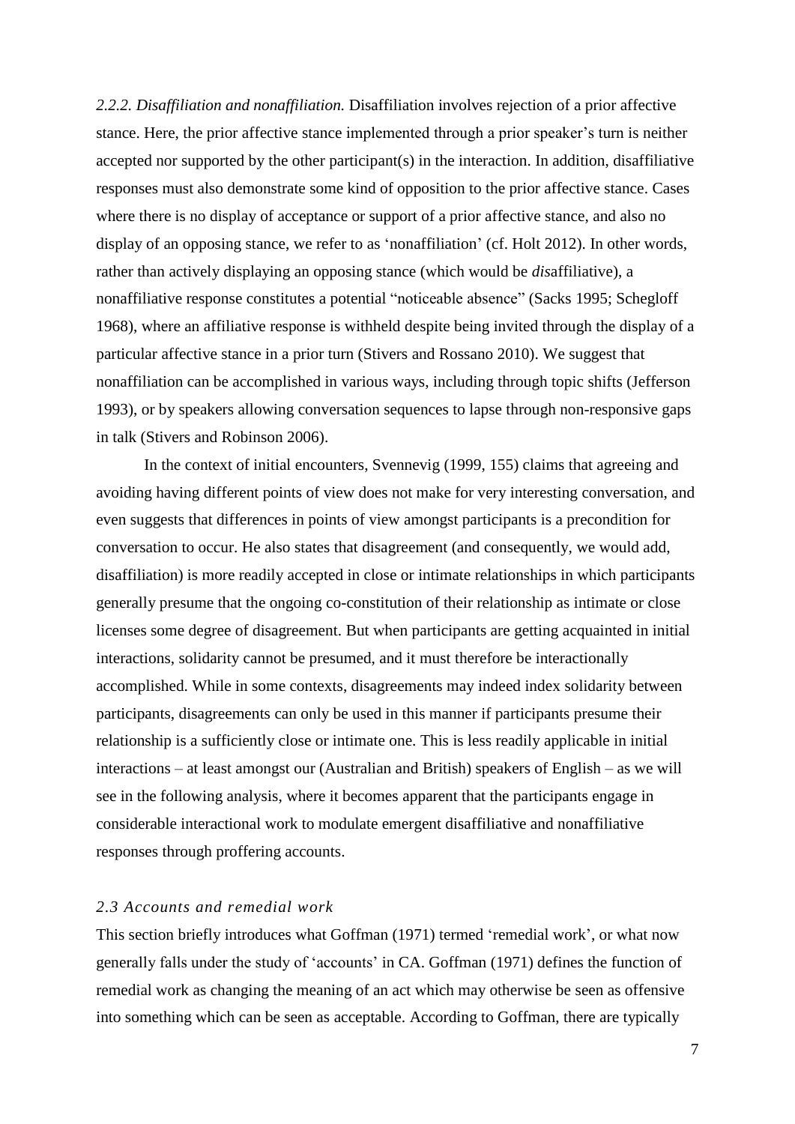*2.2.2. Disaffiliation and nonaffiliation.* Disaffiliation involves rejection of a prior affective stance. Here, the prior affective stance implemented through a prior speaker's turn is neither accepted nor supported by the other participant(s) in the interaction. In addition, disaffiliative responses must also demonstrate some kind of opposition to the prior affective stance. Cases where there is no display of acceptance or support of a prior affective stance, and also no display of an opposing stance, we refer to as 'nonaffiliation' (cf. Holt 2012). In other words, rather than actively displaying an opposing stance (which would be *dis*affiliative), a nonaffiliative response constitutes a potential "noticeable absence" (Sacks 1995; Schegloff 1968), where an affiliative response is withheld despite being invited through the display of a particular affective stance in a prior turn (Stivers and Rossano 2010). We suggest that nonaffiliation can be accomplished in various ways, including through topic shifts (Jefferson 1993), or by speakers allowing conversation sequences to lapse through non-responsive gaps in talk (Stivers and Robinson 2006).

In the context of initial encounters, Svennevig (1999, 155) claims that agreeing and avoiding having different points of view does not make for very interesting conversation, and even suggests that differences in points of view amongst participants is a precondition for conversation to occur. He also states that disagreement (and consequently, we would add, disaffiliation) is more readily accepted in close or intimate relationships in which participants generally presume that the ongoing co-constitution of their relationship as intimate or close licenses some degree of disagreement. But when participants are getting acquainted in initial interactions, solidarity cannot be presumed, and it must therefore be interactionally accomplished. While in some contexts, disagreements may indeed index solidarity between participants, disagreements can only be used in this manner if participants presume their relationship is a sufficiently close or intimate one. This is less readily applicable in initial interactions – at least amongst our (Australian and British) speakers of English – as we will see in the following analysis, where it becomes apparent that the participants engage in considerable interactional work to modulate emergent disaffiliative and nonaffiliative responses through proffering accounts.

## *2.3 Accounts and remedial work*

This section briefly introduces what Goffman (1971) termed 'remedial work', or what now generally falls under the study of 'accounts' in CA. Goffman (1971) defines the function of remedial work as changing the meaning of an act which may otherwise be seen as offensive into something which can be seen as acceptable. According to Goffman, there are typically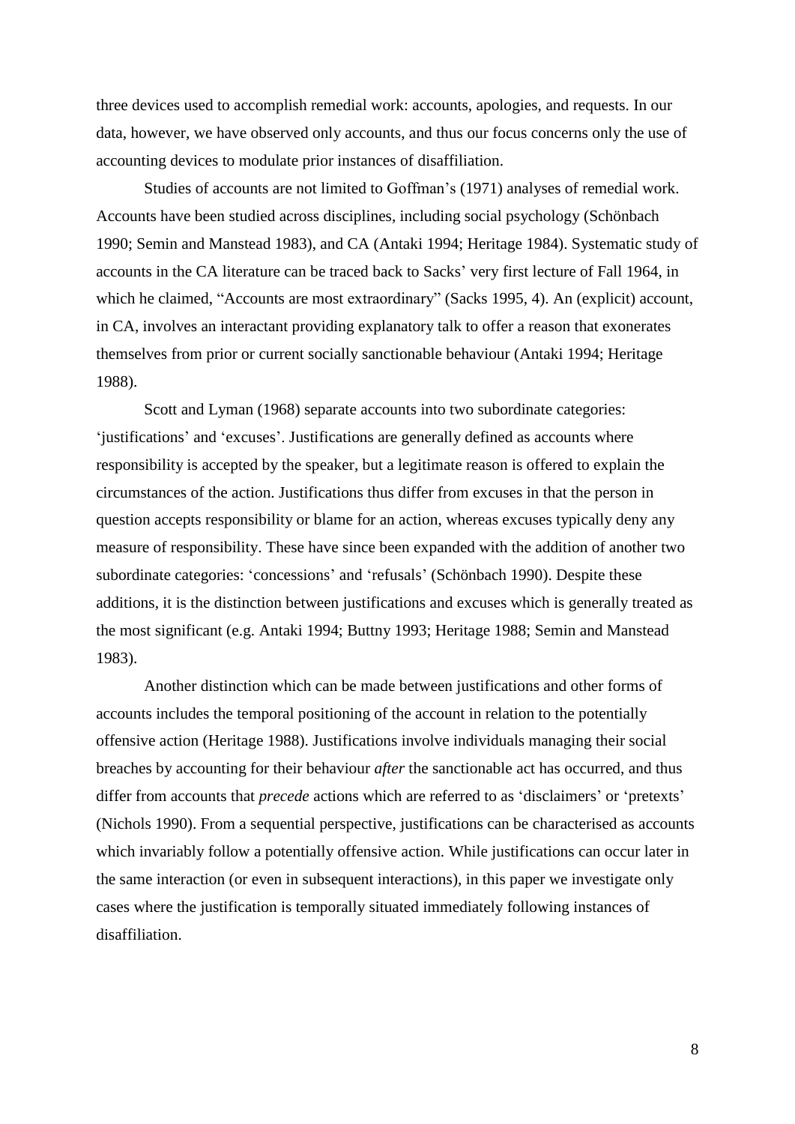three devices used to accomplish remedial work: accounts, apologies, and requests. In our data, however, we have observed only accounts, and thus our focus concerns only the use of accounting devices to modulate prior instances of disaffiliation.

Studies of accounts are not limited to Goffman's (1971) analyses of remedial work. Accounts have been studied across disciplines, including social psychology (Schönbach 1990; Semin and Manstead 1983), and CA (Antaki 1994; Heritage 1984). Systematic study of accounts in the CA literature can be traced back to Sacks' very first lecture of Fall 1964, in which he claimed, "Accounts are most extraordinary" (Sacks 1995, 4). An (explicit) account, in CA, involves an interactant providing explanatory talk to offer a reason that exonerates themselves from prior or current socially sanctionable behaviour (Antaki 1994; Heritage 1988).

Scott and Lyman (1968) separate accounts into two subordinate categories: 'justifications' and 'excuses'. Justifications are generally defined as accounts where responsibility is accepted by the speaker, but a legitimate reason is offered to explain the circumstances of the action. Justifications thus differ from excuses in that the person in question accepts responsibility or blame for an action, whereas excuses typically deny any measure of responsibility. These have since been expanded with the addition of another two subordinate categories: 'concessions' and 'refusals' (Schönbach 1990). Despite these additions, it is the distinction between justifications and excuses which is generally treated as the most significant (e.g. Antaki 1994; Buttny 1993; Heritage 1988; Semin and Manstead 1983).

Another distinction which can be made between justifications and other forms of accounts includes the temporal positioning of the account in relation to the potentially offensive action (Heritage 1988). Justifications involve individuals managing their social breaches by accounting for their behaviour *after* the sanctionable act has occurred, and thus differ from accounts that *precede* actions which are referred to as 'disclaimers' or 'pretexts' (Nichols 1990). From a sequential perspective, justifications can be characterised as accounts which invariably follow a potentially offensive action. While justifications can occur later in the same interaction (or even in subsequent interactions), in this paper we investigate only cases where the justification is temporally situated immediately following instances of disaffiliation.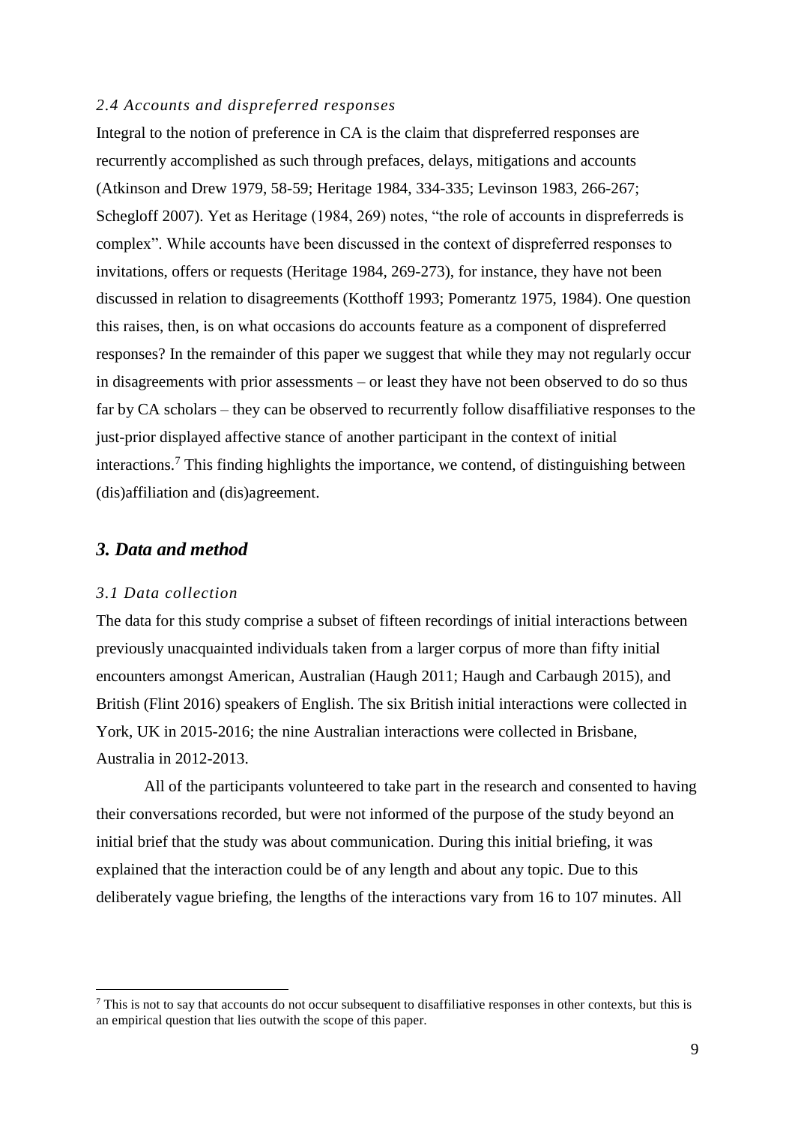#### *2.4 Accounts and dispreferred responses*

Integral to the notion of preference in CA is the claim that dispreferred responses are recurrently accomplished as such through prefaces, delays, mitigations and accounts (Atkinson and Drew 1979, 58-59; Heritage 1984, 334-335; Levinson 1983, 266-267; Schegloff 2007). Yet as Heritage (1984, 269) notes, "the role of accounts in dispreferreds is complex". While accounts have been discussed in the context of dispreferred responses to invitations, offers or requests (Heritage 1984, 269-273), for instance, they have not been discussed in relation to disagreements (Kotthoff 1993; Pomerantz 1975, 1984). One question this raises, then, is on what occasions do accounts feature as a component of dispreferred responses? In the remainder of this paper we suggest that while they may not regularly occur in disagreements with prior assessments – or least they have not been observed to do so thus far by CA scholars – they can be observed to recurrently follow disaffiliative responses to the just-prior displayed affective stance of another participant in the context of initial interactions.<sup>7</sup> This finding highlights the importance, we contend, of distinguishing between (dis)affiliation and (dis)agreement.

## *3. Data and method*

#### *3.1 Data collection*

1

The data for this study comprise a subset of fifteen recordings of initial interactions between previously unacquainted individuals taken from a larger corpus of more than fifty initial encounters amongst American, Australian (Haugh 2011; Haugh and Carbaugh 2015), and British (Flint 2016) speakers of English. The six British initial interactions were collected in York, UK in 2015-2016; the nine Australian interactions were collected in Brisbane, Australia in 2012-2013.

All of the participants volunteered to take part in the research and consented to having their conversations recorded, but were not informed of the purpose of the study beyond an initial brief that the study was about communication. During this initial briefing, it was explained that the interaction could be of any length and about any topic. Due to this deliberately vague briefing, the lengths of the interactions vary from 16 to 107 minutes. All

 $^7$  This is not to say that accounts do not occur subsequent to disaffiliative responses in other contexts, but this is an empirical question that lies outwith the scope of this paper.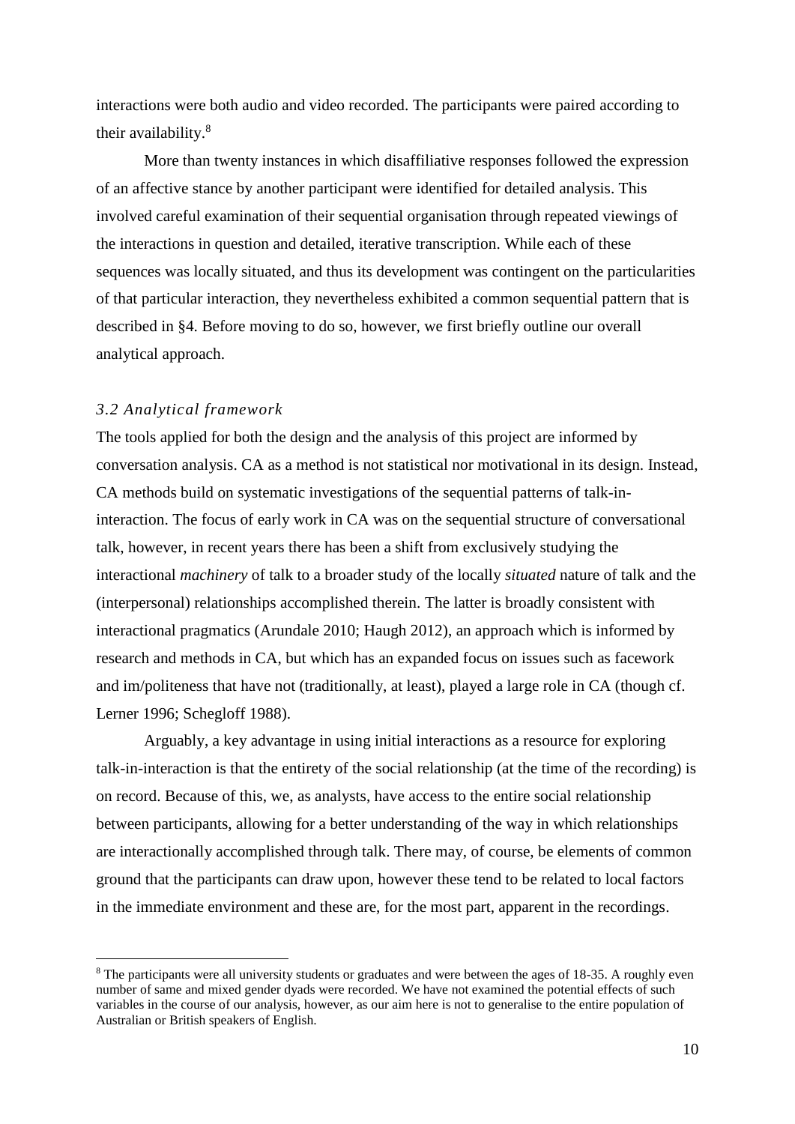interactions were both audio and video recorded. The participants were paired according to their availability.<sup>8</sup>

More than twenty instances in which disaffiliative responses followed the expression of an affective stance by another participant were identified for detailed analysis. This involved careful examination of their sequential organisation through repeated viewings of the interactions in question and detailed, iterative transcription. While each of these sequences was locally situated, and thus its development was contingent on the particularities of that particular interaction, they nevertheless exhibited a common sequential pattern that is described in §4. Before moving to do so, however, we first briefly outline our overall analytical approach.

#### *3.2 Analytical framework*

1

The tools applied for both the design and the analysis of this project are informed by conversation analysis. CA as a method is not statistical nor motivational in its design. Instead, CA methods build on systematic investigations of the sequential patterns of talk-ininteraction. The focus of early work in CA was on the sequential structure of conversational talk, however, in recent years there has been a shift from exclusively studying the interactional *machinery* of talk to a broader study of the locally *situated* nature of talk and the (interpersonal) relationships accomplished therein. The latter is broadly consistent with interactional pragmatics (Arundale 2010; Haugh 2012), an approach which is informed by research and methods in CA, but which has an expanded focus on issues such as facework and im/politeness that have not (traditionally, at least), played a large role in CA (though cf. Lerner 1996; Schegloff 1988).

Arguably, a key advantage in using initial interactions as a resource for exploring talk-in-interaction is that the entirety of the social relationship (at the time of the recording) is on record. Because of this, we, as analysts, have access to the entire social relationship between participants, allowing for a better understanding of the way in which relationships are interactionally accomplished through talk. There may, of course, be elements of common ground that the participants can draw upon, however these tend to be related to local factors in the immediate environment and these are, for the most part, apparent in the recordings.

<sup>&</sup>lt;sup>8</sup> The participants were all university students or graduates and were between the ages of 18-35. A roughly even number of same and mixed gender dyads were recorded. We have not examined the potential effects of such variables in the course of our analysis, however, as our aim here is not to generalise to the entire population of Australian or British speakers of English.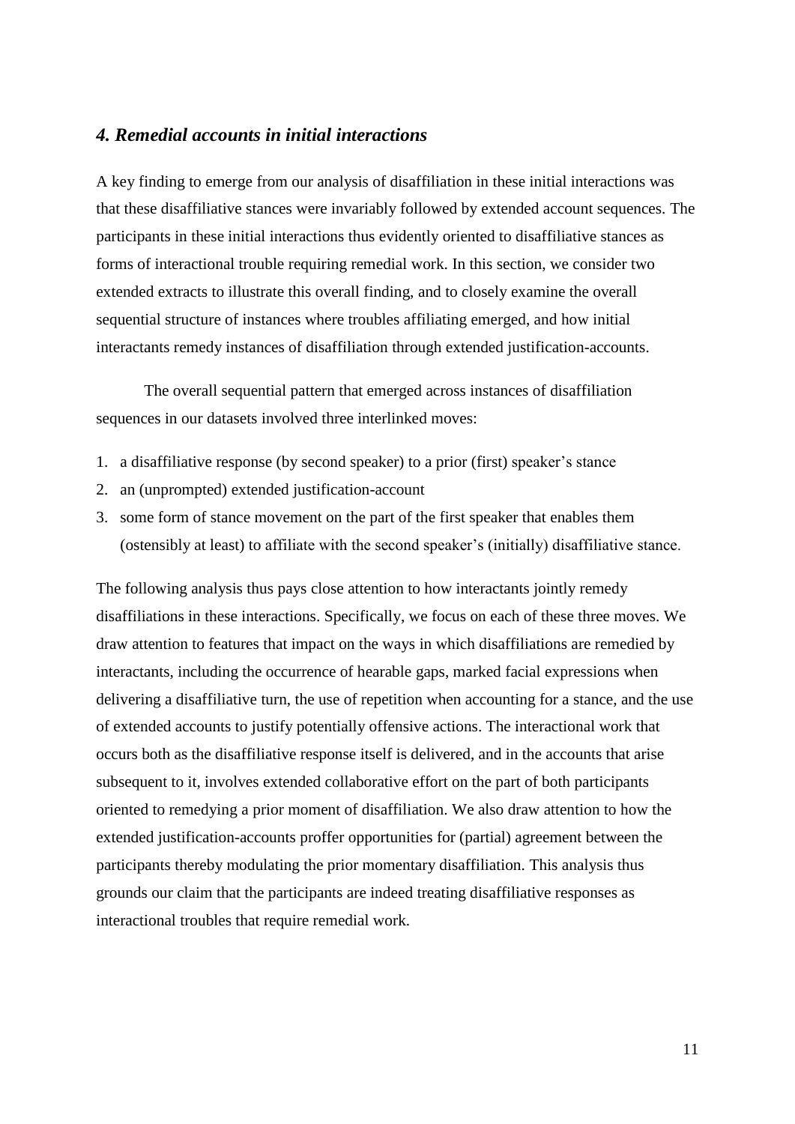## *4. Remedial accounts in initial interactions*

A key finding to emerge from our analysis of disaffiliation in these initial interactions was that these disaffiliative stances were invariably followed by extended account sequences. The participants in these initial interactions thus evidently oriented to disaffiliative stances as forms of interactional trouble requiring remedial work. In this section, we consider two extended extracts to illustrate this overall finding, and to closely examine the overall sequential structure of instances where troubles affiliating emerged, and how initial interactants remedy instances of disaffiliation through extended justification-accounts.

The overall sequential pattern that emerged across instances of disaffiliation sequences in our datasets involved three interlinked moves:

- 1. a disaffiliative response (by second speaker) to a prior (first) speaker's stance
- 2. an (unprompted) extended justification-account
- 3. some form of stance movement on the part of the first speaker that enables them (ostensibly at least) to affiliate with the second speaker's (initially) disaffiliative stance.

The following analysis thus pays close attention to how interactants jointly remedy disaffiliations in these interactions. Specifically, we focus on each of these three moves. We draw attention to features that impact on the ways in which disaffiliations are remedied by interactants, including the occurrence of hearable gaps, marked facial expressions when delivering a disaffiliative turn, the use of repetition when accounting for a stance, and the use of extended accounts to justify potentially offensive actions. The interactional work that occurs both as the disaffiliative response itself is delivered, and in the accounts that arise subsequent to it, involves extended collaborative effort on the part of both participants oriented to remedying a prior moment of disaffiliation. We also draw attention to how the extended justification-accounts proffer opportunities for (partial) agreement between the participants thereby modulating the prior momentary disaffiliation. This analysis thus grounds our claim that the participants are indeed treating disaffiliative responses as interactional troubles that require remedial work.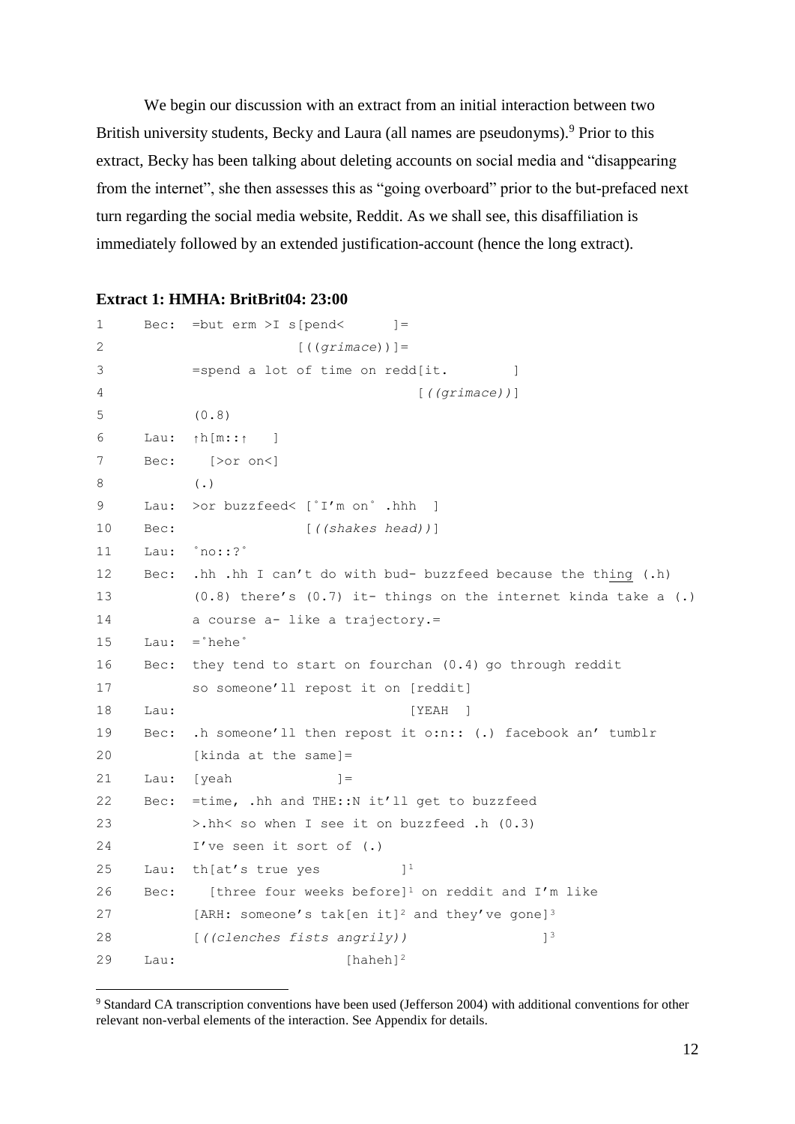We begin our discussion with an extract from an initial interaction between two British university students, Becky and Laura (all names are pseudonyms).<sup>9</sup> Prior to this extract, Becky has been talking about deleting accounts on social media and "disappearing from the internet", she then assesses this as "going overboard" prior to the but-prefaced next turn regarding the social media website, Reddit. As we shall see, this disaffiliation is immediately followed by an extended justification-account (hence the long extract).

#### **Extract 1: HMHA: BritBrit04: 23:00**

```
1 Bec: = but erm >I s [pend < =2 [((grimace))]= 
3 = spend a lot of time on redd[it. ]
4 [((grimace))]
5 (0.8) 
6 Lau: ↑h[m::↑ ]
7 Bec: [>or on<]
8 (.)
9 Lau: >or buzzfeed< [˚I'm on˚ .hhh ]
10 Bec: [((shakes head))]
11 Lau: ˚no::?˚
12 Bec: .hh .hh I can't do with bud- buzzfeed because the thing (.h) 
13 (0.8) there's (0.7) it- things on the internet kinda take a (.) 
14 a course a- like a trajectory.=
15 Lau: =˚hehe˚
16 Bec: they tend to start on fourchan (0.4) go through reddit
17 so someone'll repost it on [reddit]
18 Lau: [YEAH ]
19 Bec: .h someone'll then repost it o:n:: (.) facebook an' tumblr
20 [kinda at the same]=
21 Lau: [yeah ]=
22 Bec: =time, .hh and THE::N it'll get to buzzfeed 
23 >.hh< so when I see it on buzzfeed .h (0.3)
24 I've seen it sort of (.) 
25 Lau: th[at's true yes ]<sup>1</sup>
26 Bec: [three four weeks before]<sup>1</sup> on reddit and I'm like
27 [ARH: someone's tak[en it]<sup>2</sup> and they've gone]<sup>3</sup>
28 <i>((clenches fists angrily) ]<sup>3</sup>
29 Lau: [haheh]<sup>2</sup>
```
<sup>9</sup> Standard CA transcription conventions have been used (Jefferson 2004) with additional conventions for other relevant non-verbal elements of the interaction. See Appendix for details.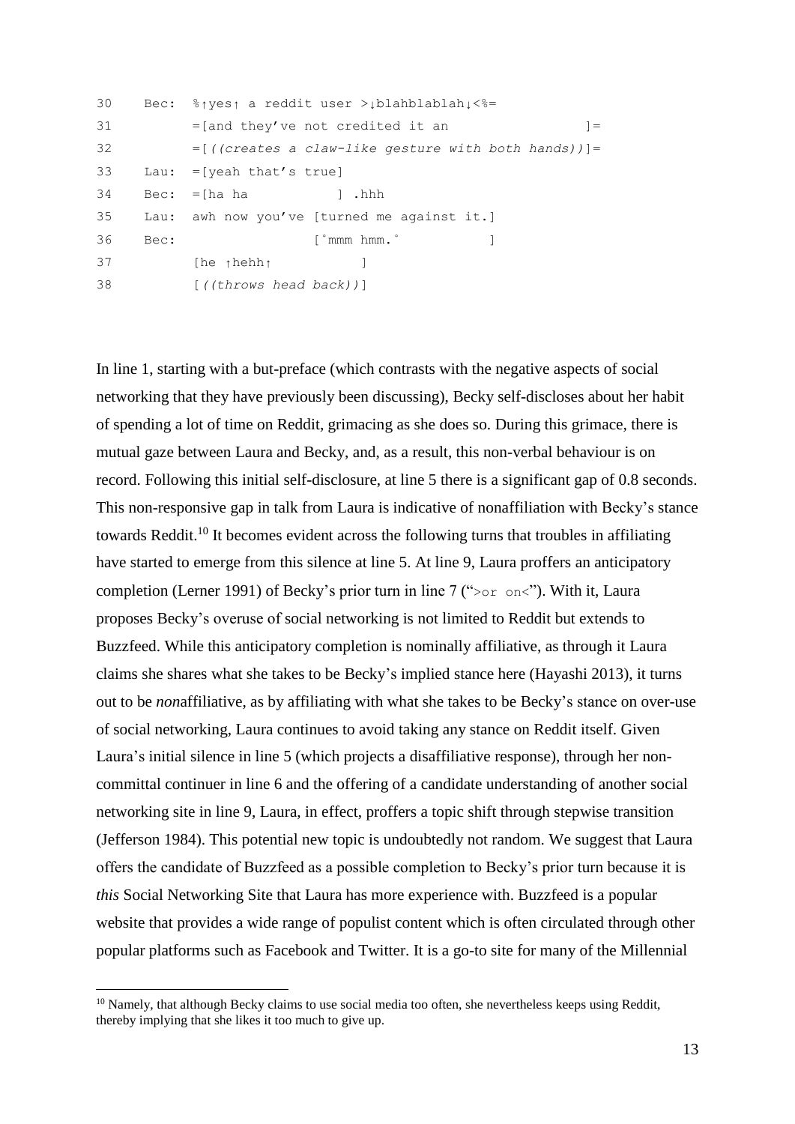| 30 |      | Bec: $\frac{1}{2}$ a reddit user > blahblablah $\frac{1}{2}$ |
|----|------|--------------------------------------------------------------|
| 31 |      | $=$ [and they've not credited it an<br>$=$                   |
| 32 |      | $=[((createst a claw-like gesture with both hands))]$ =      |
| 33 |      | Lau: $=$ [yeah that's true]                                  |
| 34 |      | $Bec: =[ha ha$<br>l .hhh                                     |
| 35 |      | Lau: awh now you've [turned me against it.]                  |
| 36 | Bec: | $\lceil \degree$ mmm hmm. $\degree$                          |
| 37 |      | $[he \ttheta]$                                               |
| 38 |      | $\lceil$ ((throws head back))]                               |

In line 1, starting with a but-preface (which contrasts with the negative aspects of social networking that they have previously been discussing), Becky self-discloses about her habit of spending a lot of time on Reddit, grimacing as she does so. During this grimace, there is mutual gaze between Laura and Becky, and, as a result, this non-verbal behaviour is on record. Following this initial self-disclosure, at line 5 there is a significant gap of 0.8 seconds. This non-responsive gap in talk from Laura is indicative of nonaffiliation with Becky's stance towards Reddit.<sup>10</sup> It becomes evident across the following turns that troubles in affiliating have started to emerge from this silence at line 5. At line 9, Laura proffers an anticipatory completion (Lerner 1991) of Becky's prior turn in line 7 (" $> \circ r$  on  $\circ$ "). With it, Laura proposes Becky's overuse of social networking is not limited to Reddit but extends to Buzzfeed. While this anticipatory completion is nominally affiliative, as through it Laura claims she shares what she takes to be Becky's implied stance here (Hayashi 2013), it turns out to be *non*affiliative, as by affiliating with what she takes to be Becky's stance on over-use of social networking, Laura continues to avoid taking any stance on Reddit itself. Given Laura's initial silence in line 5 (which projects a disaffiliative response), through her noncommittal continuer in line 6 and the offering of a candidate understanding of another social networking site in line 9, Laura, in effect, proffers a topic shift through stepwise transition (Jefferson 1984). This potential new topic is undoubtedly not random. We suggest that Laura offers the candidate of Buzzfeed as a possible completion to Becky's prior turn because it is *this* Social Networking Site that Laura has more experience with. Buzzfeed is a popular website that provides a wide range of populist content which is often circulated through other popular platforms such as Facebook and Twitter. It is a go-to site for many of the Millennial

 $10$  Namely, that although Becky claims to use social media too often, she nevertheless keeps using Reddit. thereby implying that she likes it too much to give up.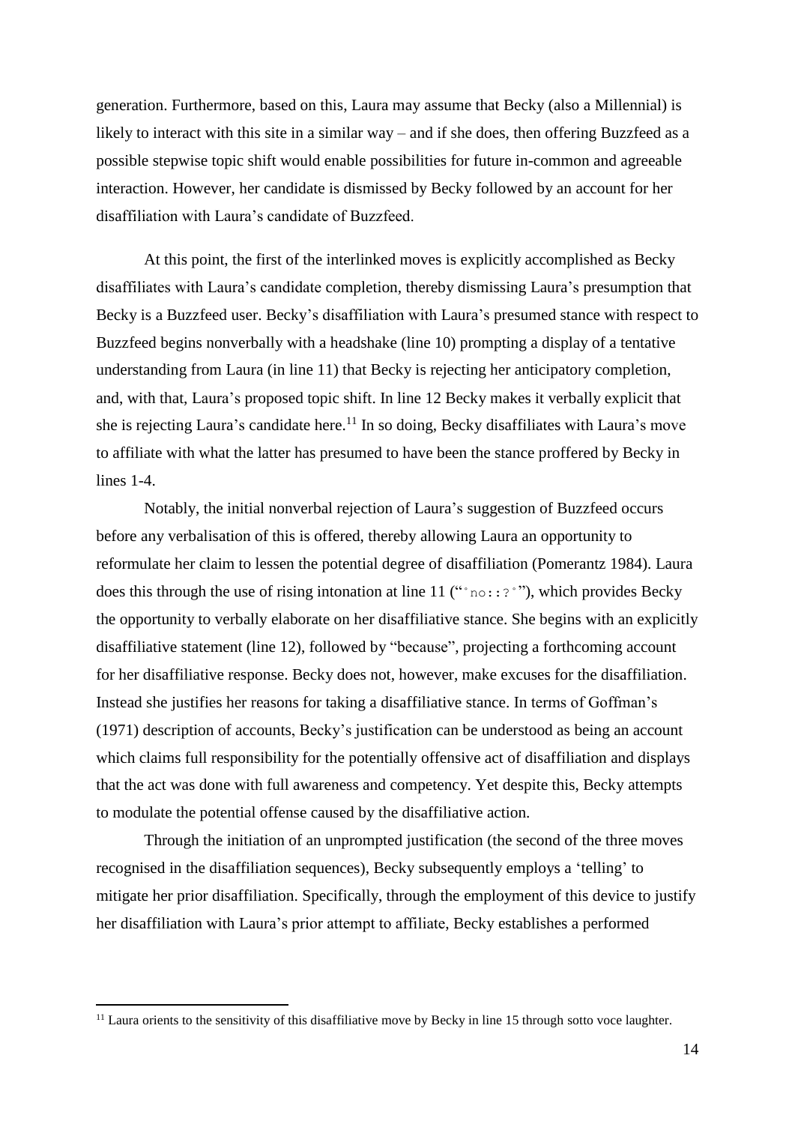generation. Furthermore, based on this, Laura may assume that Becky (also a Millennial) is likely to interact with this site in a similar way – and if she does, then offering Buzzfeed as a possible stepwise topic shift would enable possibilities for future in-common and agreeable interaction. However, her candidate is dismissed by Becky followed by an account for her disaffiliation with Laura's candidate of Buzzfeed.

At this point, the first of the interlinked moves is explicitly accomplished as Becky disaffiliates with Laura's candidate completion, thereby dismissing Laura's presumption that Becky is a Buzzfeed user. Becky's disaffiliation with Laura's presumed stance with respect to Buzzfeed begins nonverbally with a headshake (line 10) prompting a display of a tentative understanding from Laura (in line 11) that Becky is rejecting her anticipatory completion, and, with that, Laura's proposed topic shift. In line 12 Becky makes it verbally explicit that she is rejecting Laura's candidate here.<sup>11</sup> In so doing, Becky disaffiliates with Laura's move to affiliate with what the latter has presumed to have been the stance proffered by Becky in lines 1-4.

Notably, the initial nonverbal rejection of Laura's suggestion of Buzzfeed occurs before any verbalisation of this is offered, thereby allowing Laura an opportunity to reformulate her claim to lessen the potential degree of disaffiliation (Pomerantz 1984). Laura does this through the use of rising intonation at line 11 (" $\cdot$ no::?<sup>\*</sup>"), which provides Becky the opportunity to verbally elaborate on her disaffiliative stance. She begins with an explicitly disaffiliative statement (line 12), followed by "because", projecting a forthcoming account for her disaffiliative response. Becky does not, however, make excuses for the disaffiliation. Instead she justifies her reasons for taking a disaffiliative stance. In terms of Goffman's (1971) description of accounts, Becky's justification can be understood as being an account which claims full responsibility for the potentially offensive act of disaffiliation and displays that the act was done with full awareness and competency. Yet despite this, Becky attempts to modulate the potential offense caused by the disaffiliative action.

Through the initiation of an unprompted justification (the second of the three moves recognised in the disaffiliation sequences), Becky subsequently employs a 'telling' to mitigate her prior disaffiliation. Specifically, through the employment of this device to justify her disaffiliation with Laura's prior attempt to affiliate, Becky establishes a performed

 $11$  Laura orients to the sensitivity of this disaffiliative move by Becky in line 15 through sotto voce laughter.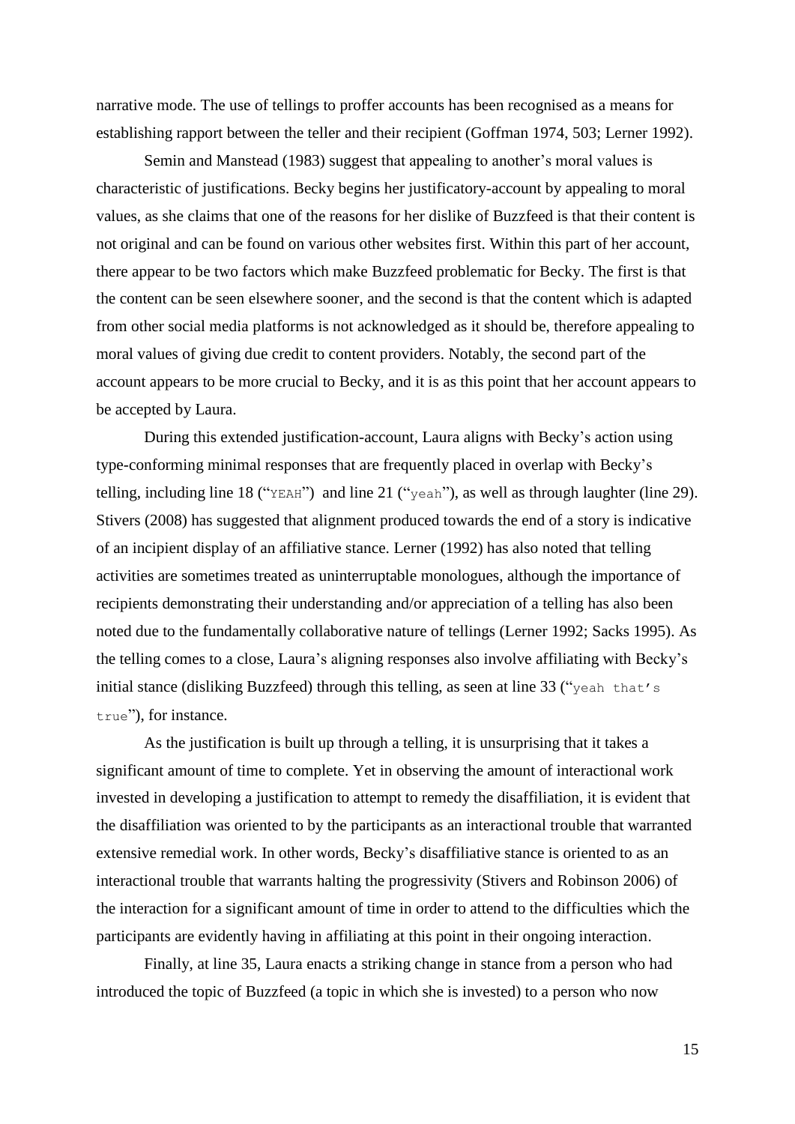narrative mode. The use of tellings to proffer accounts has been recognised as a means for establishing rapport between the teller and their recipient (Goffman 1974, 503; Lerner 1992).

Semin and Manstead (1983) suggest that appealing to another's moral values is characteristic of justifications. Becky begins her justificatory-account by appealing to moral values, as she claims that one of the reasons for her dislike of Buzzfeed is that their content is not original and can be found on various other websites first. Within this part of her account, there appear to be two factors which make Buzzfeed problematic for Becky. The first is that the content can be seen elsewhere sooner, and the second is that the content which is adapted from other social media platforms is not acknowledged as it should be, therefore appealing to moral values of giving due credit to content providers. Notably, the second part of the account appears to be more crucial to Becky, and it is as this point that her account appears to be accepted by Laura.

During this extended justification-account, Laura aligns with Becky's action using type-conforming minimal responses that are frequently placed in overlap with Becky's telling, including line 18 ("YEAH") and line 21 ("yeah"), as well as through laughter (line 29). Stivers (2008) has suggested that alignment produced towards the end of a story is indicative of an incipient display of an affiliative stance. Lerner (1992) has also noted that telling activities are sometimes treated as uninterruptable monologues, although the importance of recipients demonstrating their understanding and/or appreciation of a telling has also been noted due to the fundamentally collaborative nature of tellings (Lerner 1992; Sacks 1995). As the telling comes to a close, Laura's aligning responses also involve affiliating with Becky's initial stance (disliking Buzzfeed) through this telling, as seen at line 33 ("yeah that's true"), for instance.

As the justification is built up through a telling, it is unsurprising that it takes a significant amount of time to complete. Yet in observing the amount of interactional work invested in developing a justification to attempt to remedy the disaffiliation, it is evident that the disaffiliation was oriented to by the participants as an interactional trouble that warranted extensive remedial work. In other words, Becky's disaffiliative stance is oriented to as an interactional trouble that warrants halting the progressivity (Stivers and Robinson 2006) of the interaction for a significant amount of time in order to attend to the difficulties which the participants are evidently having in affiliating at this point in their ongoing interaction.

Finally, at line 35, Laura enacts a striking change in stance from a person who had introduced the topic of Buzzfeed (a topic in which she is invested) to a person who now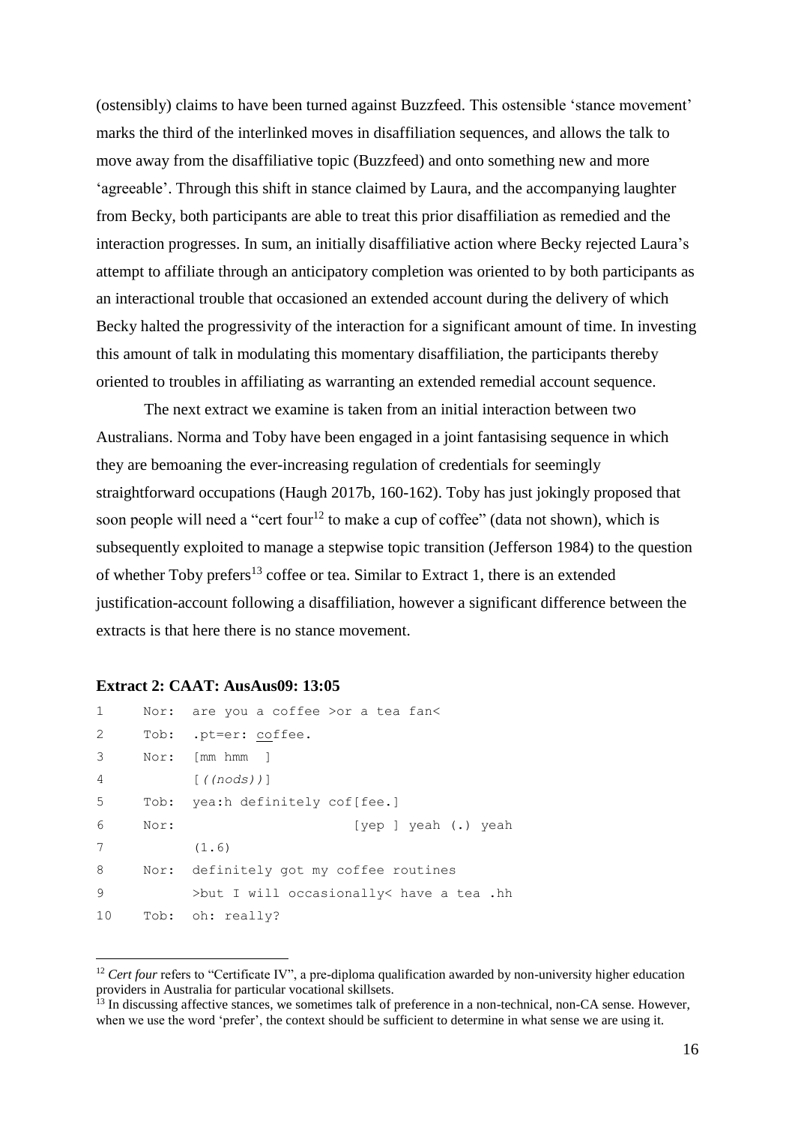(ostensibly) claims to have been turned against Buzzfeed. This ostensible 'stance movement' marks the third of the interlinked moves in disaffiliation sequences, and allows the talk to move away from the disaffiliative topic (Buzzfeed) and onto something new and more 'agreeable'. Through this shift in stance claimed by Laura, and the accompanying laughter from Becky, both participants are able to treat this prior disaffiliation as remedied and the interaction progresses. In sum, an initially disaffiliative action where Becky rejected Laura's attempt to affiliate through an anticipatory completion was oriented to by both participants as an interactional trouble that occasioned an extended account during the delivery of which Becky halted the progressivity of the interaction for a significant amount of time. In investing this amount of talk in modulating this momentary disaffiliation, the participants thereby oriented to troubles in affiliating as warranting an extended remedial account sequence.

The next extract we examine is taken from an initial interaction between two Australians. Norma and Toby have been engaged in a joint fantasising sequence in which they are bemoaning the ever-increasing regulation of credentials for seemingly straightforward occupations (Haugh 2017b, 160-162). Toby has just jokingly proposed that soon people will need a "cert four<sup>12</sup> to make a cup of coffee" (data not shown), which is subsequently exploited to manage a stepwise topic transition (Jefferson 1984) to the question of whether Toby prefers<sup>13</sup> coffee or tea. Similar to Extract 1, there is an extended justification-account following a disaffiliation, however a significant difference between the extracts is that here there is no stance movement.

#### **Extract 2: CAAT: AusAus09: 13:05**

| $\mathbf{1}$ |      | Nor: are you a coffee >or a tea fan<     |
|--------------|------|------------------------------------------|
| 2            |      | Tob: .pt=er: coffee.                     |
| 3            |      | Nor: [mm hmm ]                           |
| 4            |      | $\lceil$ ((nods))]                       |
| -5           | Tob: | yea:h definitely cof[fee.]               |
| 6            | Nor: | $[vep]$ veah $(.)$ yeah                  |
| 7            |      | (1.6)                                    |
| 8            | Nor: | definitely got my coffee routines        |
| 9            |      | >but I will occasionally< have a tea .hh |
| 10           |      | Tob: oh: really?                         |

<sup>&</sup>lt;sup>12</sup> *Cert four* refers to "Certificate IV", a pre-diploma qualification awarded by non-university higher education providers in Australia for particular vocational skillsets.

<sup>&</sup>lt;sup>13</sup> In discussing affective stances, we sometimes talk of preference in a non-technical, non-CA sense. However, when we use the word 'prefer', the context should be sufficient to determine in what sense we are using it.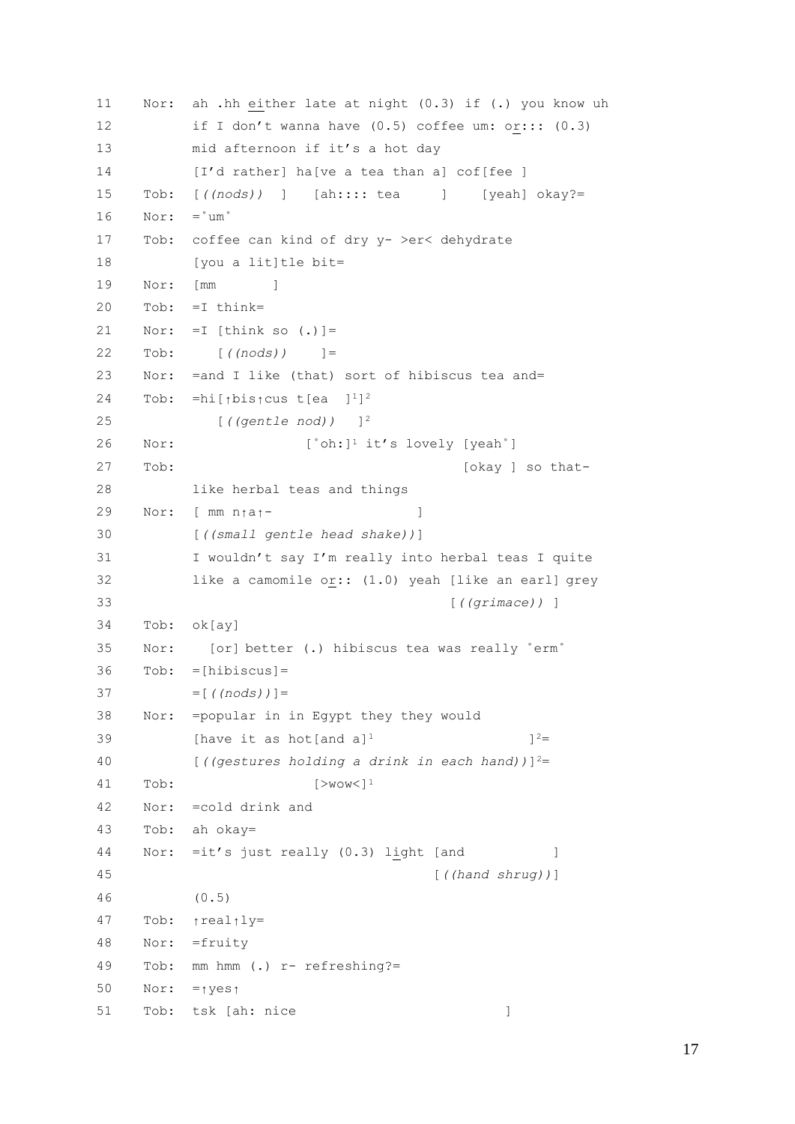```
11 Nor: ah .hh either late at night (0.3) if (.) you know uh 
12 if I don't wanna have (0.5) coffee um: or::: (0.3)
13 mid afternoon if it's a hot day 
14 [I'd rather] ha[ve a tea than a] cof[fee ]
15 Tob: [((nods)) ] [ah:::: tea ] [yeah] okay?=
16 Nor: = "um"
17 Tob: coffee can kind of dry y- >er< dehydrate 
18 [you a lit]tle bit=
19 Nor: [mm ]
20 Tob: =I think=
21 Nor: =I [think so (.)]=
22 Tob: [((nods)) ]=
23 Nor: =and I like (that) sort of hibiscus tea and=
24 Tob: =hi[↑bis↑cus t[ea ]1]2
25 [((gentle nod)) ]2
26 Nor: [°oh:]^1 it's lovely [yeah<sup>°</sup>]
27 Tob: [okay ] so that-
28 like herbal teas and things
29 Nor: [ mm n↑a↑- ]
30 [((small gentle head shake))]
31 I wouldn't say I'm really into herbal teas I quite
32 like a camomile or:: (1.0) yeah [like an earl] grey 
33 [((grimace)) ]
34 Tob: ok[ay]
35 Nor: [or] better (.) hibiscus tea was really ˚erm˚
36 Tob: =[hibiscus]=
37 =[((\text{nodes}))]=38 Nor: =popular in in Egypt they they would 
39 I Solut Thave it as hot [and a]<sup>1</sup> 12 \frac{12}{2}40 [((gestures holding a drink in each hand))]2=
41 Tob: [>wow<]1
42 Nor: =cold drink and
43 Tob: ah okay=
44 Nor: =it's just really (0.3) light [and ]
45 [((hand shrug))]
46 (0.5)
47 Tob: ↑real↑ly=
48 Nor: =fruity
49 Tob: mm hmm (.) r- refreshing?=
50 Nor: =↑yes↑
51 Tob: tsk [ah: nice ]
```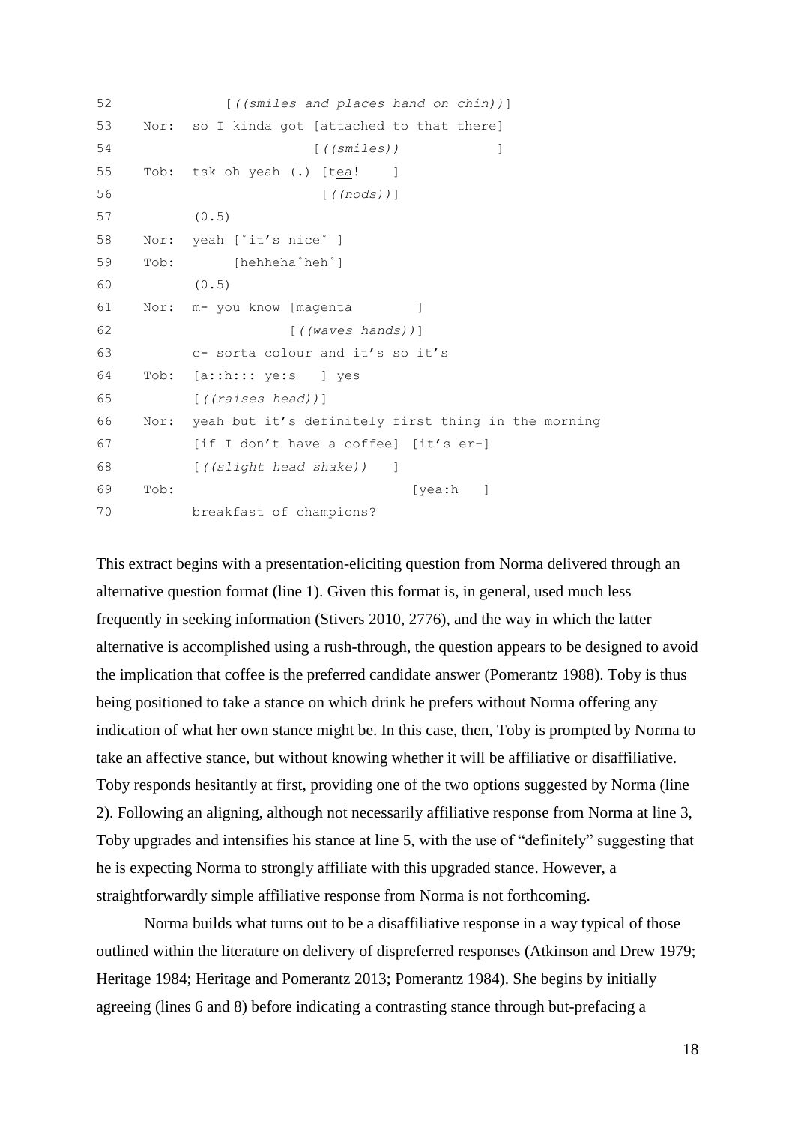```
52 [((smiles and places hand on chin))]
53 Nor: so I kinda got [attached to that there]
54 [((smiles)) ]
55 Tob: tsk oh yeah (.) [tea! ]
56 [((nods))]
57 (0.5)
58 Nor: yeah [˚it's nice˚ ]
59 Tob: [hehheha˚heh˚]
60 (0.5)
61 Nor: m- you know [magenta ]
62 [((waves hands))]
63 c- sorta colour and it's so it's 
64 Tob: [a::h::: ye:s ] yes
65 [((raises head))]
66 Nor: yeah but it's definitely first thing in the morning 
67 [if I don't have a coffee] [it's er-]
68 [((slight head shake)) ]
69 Tob: [yea:h ]
70 breakfast of champions?
```
This extract begins with a presentation-eliciting question from Norma delivered through an alternative question format (line 1). Given this format is, in general, used much less frequently in seeking information (Stivers 2010, 2776), and the way in which the latter alternative is accomplished using a rush-through, the question appears to be designed to avoid the implication that coffee is the preferred candidate answer (Pomerantz 1988). Toby is thus being positioned to take a stance on which drink he prefers without Norma offering any indication of what her own stance might be. In this case, then, Toby is prompted by Norma to take an affective stance, but without knowing whether it will be affiliative or disaffiliative. Toby responds hesitantly at first, providing one of the two options suggested by Norma (line 2). Following an aligning, although not necessarily affiliative response from Norma at line 3, Toby upgrades and intensifies his stance at line 5, with the use of "definitely" suggesting that he is expecting Norma to strongly affiliate with this upgraded stance. However, a straightforwardly simple affiliative response from Norma is not forthcoming.

Norma builds what turns out to be a disaffiliative response in a way typical of those outlined within the literature on delivery of dispreferred responses (Atkinson and Drew 1979; Heritage 1984; Heritage and Pomerantz 2013; Pomerantz 1984). She begins by initially agreeing (lines 6 and 8) before indicating a contrasting stance through but-prefacing a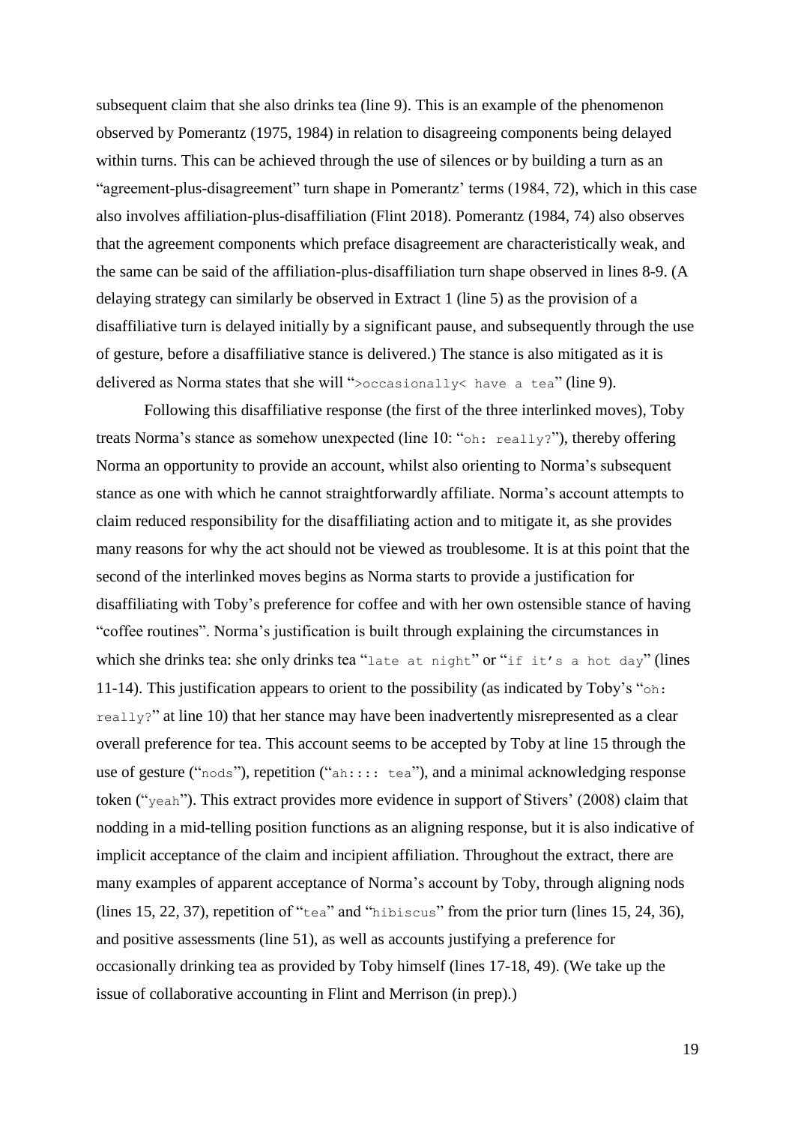subsequent claim that she also drinks tea (line 9). This is an example of the phenomenon observed by Pomerantz (1975, 1984) in relation to disagreeing components being delayed within turns. This can be achieved through the use of silences or by building a turn as an "agreement-plus-disagreement" turn shape in Pomerantz' terms (1984, 72), which in this case also involves affiliation-plus-disaffiliation (Flint 2018). Pomerantz (1984, 74) also observes that the agreement components which preface disagreement are characteristically weak, and the same can be said of the affiliation-plus-disaffiliation turn shape observed in lines 8-9. (A delaying strategy can similarly be observed in Extract 1 (line 5) as the provision of a disaffiliative turn is delayed initially by a significant pause, and subsequently through the use of gesture, before a disaffiliative stance is delivered.) The stance is also mitigated as it is delivered as Norma states that she will ">occasionally< have a tea" (line 9).

Following this disaffiliative response (the first of the three interlinked moves), Toby treats Norma's stance as somehow unexpected (line 10: "oh: really?"), thereby offering Norma an opportunity to provide an account, whilst also orienting to Norma's subsequent stance as one with which he cannot straightforwardly affiliate. Norma's account attempts to claim reduced responsibility for the disaffiliating action and to mitigate it, as she provides many reasons for why the act should not be viewed as troublesome. It is at this point that the second of the interlinked moves begins as Norma starts to provide a justification for disaffiliating with Toby's preference for coffee and with her own ostensible stance of having "coffee routines". Norma's justification is built through explaining the circumstances in which she drinks tea: she only drinks tea "late at night" or "if it's a hot day" (lines 11-14). This justification appears to orient to the possibility (as indicated by Toby's "oh: really?" at line 10) that her stance may have been inadvertently misrepresented as a clear overall preference for tea. This account seems to be accepted by Toby at line 15 through the use of gesture ("nods"), repetition ("ah:::: tea"), and a minimal acknowledging response token ("yeah"). This extract provides more evidence in support of Stivers' (2008) claim that nodding in a mid-telling position functions as an aligning response, but it is also indicative of implicit acceptance of the claim and incipient affiliation. Throughout the extract, there are many examples of apparent acceptance of Norma's account by Toby, through aligning nods (lines 15, 22, 37), repetition of "tea" and "hibiscus" from the prior turn (lines 15, 24, 36), and positive assessments (line 51), as well as accounts justifying a preference for occasionally drinking tea as provided by Toby himself (lines 17-18, 49). (We take up the issue of collaborative accounting in Flint and Merrison (in prep).)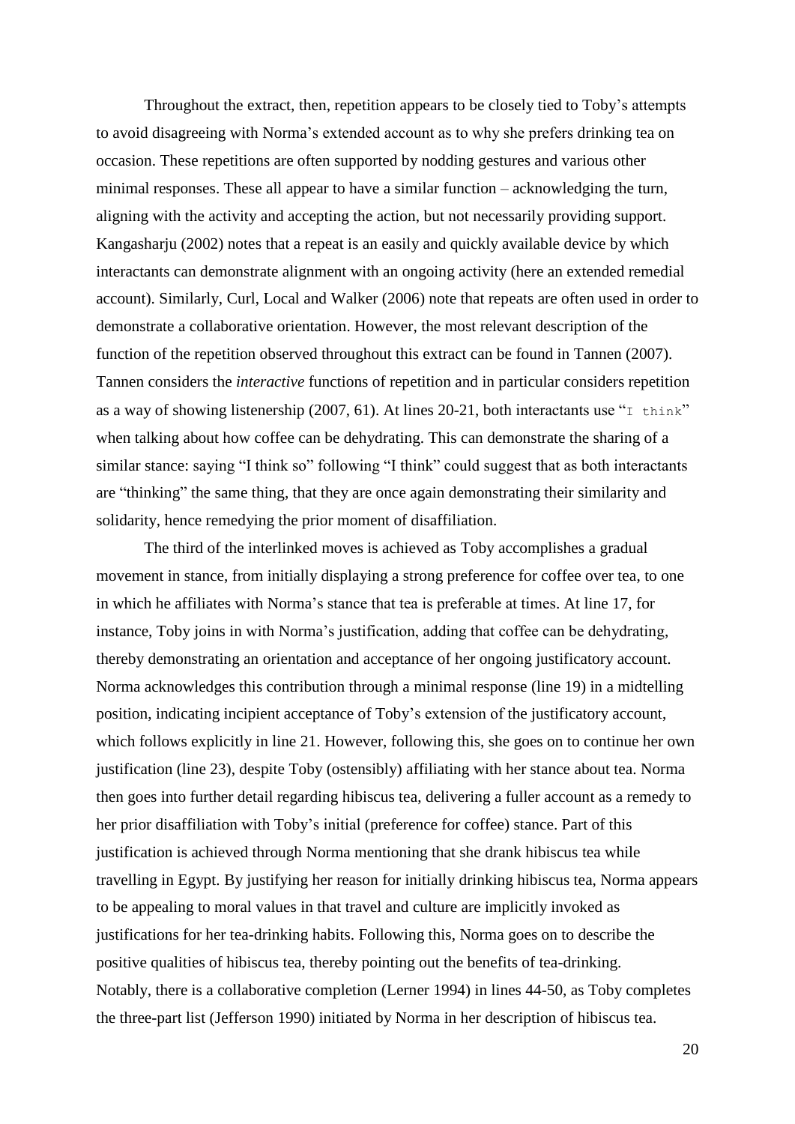Throughout the extract, then, repetition appears to be closely tied to Toby's attempts to avoid disagreeing with Norma's extended account as to why she prefers drinking tea on occasion. These repetitions are often supported by nodding gestures and various other minimal responses. These all appear to have a similar function – acknowledging the turn, aligning with the activity and accepting the action, but not necessarily providing support. Kangasharju (2002) notes that a repeat is an easily and quickly available device by which interactants can demonstrate alignment with an ongoing activity (here an extended remedial account). Similarly, Curl, Local and Walker (2006) note that repeats are often used in order to demonstrate a collaborative orientation. However, the most relevant description of the function of the repetition observed throughout this extract can be found in Tannen (2007). Tannen considers the *interactive* functions of repetition and in particular considers repetition as a way of showing listenership (2007, 61). At lines 20-21, both interactants use "I think" when talking about how coffee can be dehydrating. This can demonstrate the sharing of a similar stance: saying "I think so" following "I think" could suggest that as both interactants are "thinking" the same thing, that they are once again demonstrating their similarity and solidarity, hence remedying the prior moment of disaffiliation.

The third of the interlinked moves is achieved as Toby accomplishes a gradual movement in stance, from initially displaying a strong preference for coffee over tea, to one in which he affiliates with Norma's stance that tea is preferable at times. At line 17, for instance, Toby joins in with Norma's justification, adding that coffee can be dehydrating, thereby demonstrating an orientation and acceptance of her ongoing justificatory account. Norma acknowledges this contribution through a minimal response (line 19) in a midtelling position, indicating incipient acceptance of Toby's extension of the justificatory account, which follows explicitly in line 21. However, following this, she goes on to continue her own justification (line 23), despite Toby (ostensibly) affiliating with her stance about tea. Norma then goes into further detail regarding hibiscus tea, delivering a fuller account as a remedy to her prior disaffiliation with Toby's initial (preference for coffee) stance. Part of this justification is achieved through Norma mentioning that she drank hibiscus tea while travelling in Egypt. By justifying her reason for initially drinking hibiscus tea, Norma appears to be appealing to moral values in that travel and culture are implicitly invoked as justifications for her tea-drinking habits. Following this, Norma goes on to describe the positive qualities of hibiscus tea, thereby pointing out the benefits of tea-drinking. Notably, there is a collaborative completion (Lerner 1994) in lines 44-50, as Toby completes the three-part list (Jefferson 1990) initiated by Norma in her description of hibiscus tea.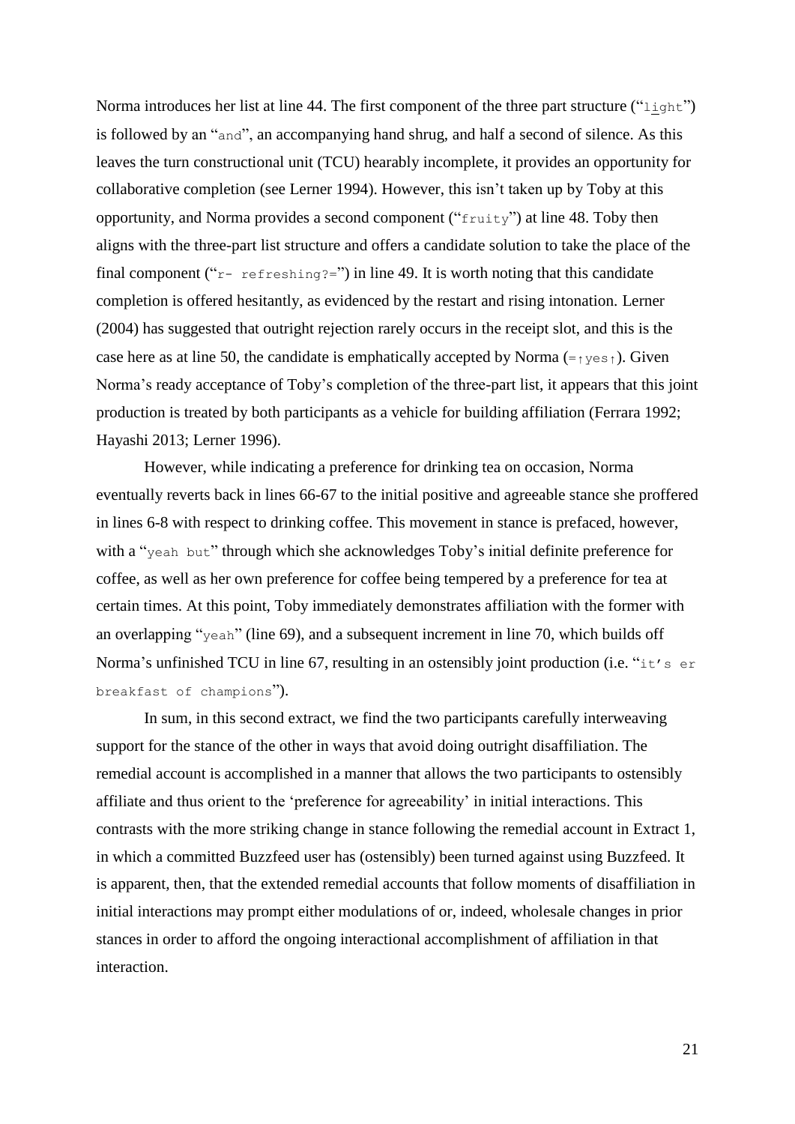Norma introduces her list at line 44. The first component of the three part structure ("light") is followed by an "and", an accompanying hand shrug, and half a second of silence. As this leaves the turn constructional unit (TCU) hearably incomplete, it provides an opportunity for collaborative completion (see Lerner 1994). However, this isn't taken up by Toby at this opportunity, and Norma provides a second component ("fruity") at line 48. Toby then aligns with the three-part list structure and offers a candidate solution to take the place of the final component (" $r$ - refreshing?=") in line 49. It is worth noting that this candidate completion is offered hesitantly, as evidenced by the restart and rising intonation. Lerner (2004) has suggested that outright rejection rarely occurs in the receipt slot, and this is the case here as at line 50, the candidate is emphatically accepted by Norma  $(=\gamma \gamma \epsilon)$ . Given Norma's ready acceptance of Toby's completion of the three-part list, it appears that this joint production is treated by both participants as a vehicle for building affiliation (Ferrara 1992; Hayashi 2013; Lerner 1996).

However, while indicating a preference for drinking tea on occasion, Norma eventually reverts back in lines 66-67 to the initial positive and agreeable stance she proffered in lines 6-8 with respect to drinking coffee. This movement in stance is prefaced, however, with a "yeah but" through which she acknowledges Toby's initial definite preference for coffee, as well as her own preference for coffee being tempered by a preference for tea at certain times. At this point, Toby immediately demonstrates affiliation with the former with an overlapping "yeah" (line 69), and a subsequent increment in line 70, which builds off Norma's unfinished TCU in line 67, resulting in an ostensibly joint production (i.e. "it's er breakfast of champions").

In sum, in this second extract, we find the two participants carefully interweaving support for the stance of the other in ways that avoid doing outright disaffiliation. The remedial account is accomplished in a manner that allows the two participants to ostensibly affiliate and thus orient to the 'preference for agreeability' in initial interactions. This contrasts with the more striking change in stance following the remedial account in Extract 1, in which a committed Buzzfeed user has (ostensibly) been turned against using Buzzfeed. It is apparent, then, that the extended remedial accounts that follow moments of disaffiliation in initial interactions may prompt either modulations of or, indeed, wholesale changes in prior stances in order to afford the ongoing interactional accomplishment of affiliation in that interaction.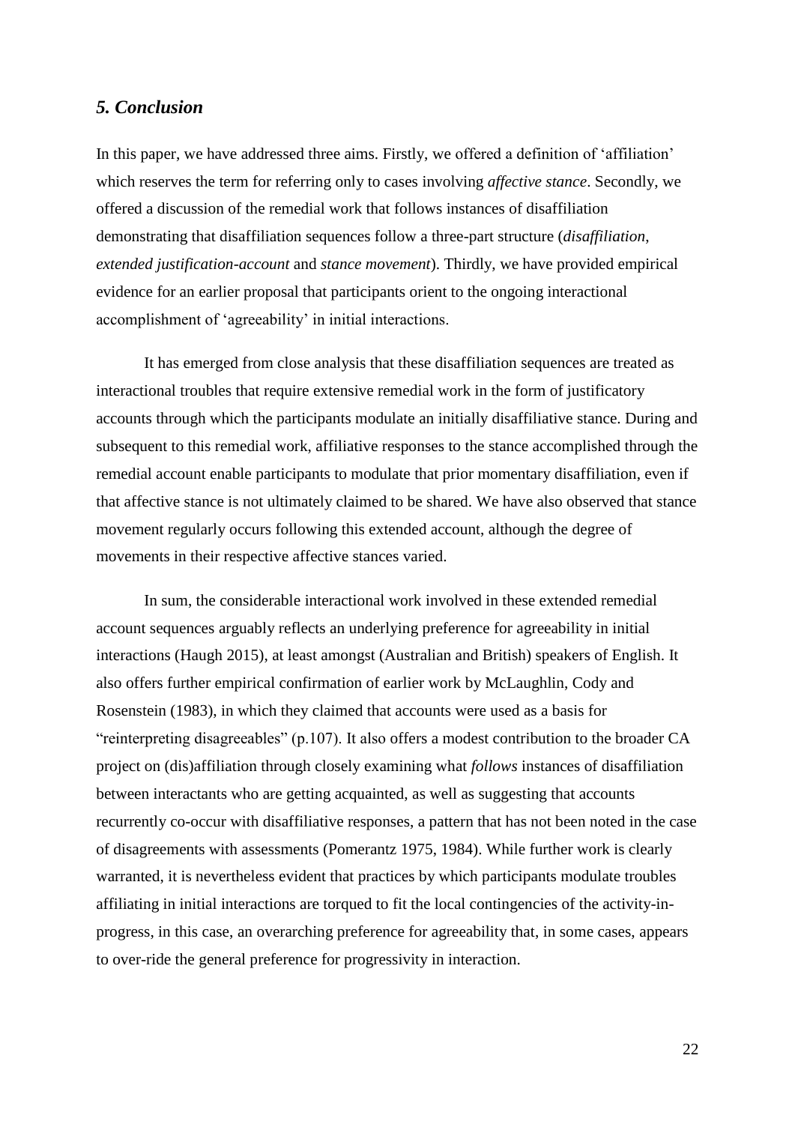## *5. Conclusion*

In this paper, we have addressed three aims. Firstly, we offered a definition of 'affiliation' which reserves the term for referring only to cases involving *affective stance*. Secondly, we offered a discussion of the remedial work that follows instances of disaffiliation demonstrating that disaffiliation sequences follow a three-part structure (*disaffiliation*, *extended justification-account* and *stance movement*). Thirdly, we have provided empirical evidence for an earlier proposal that participants orient to the ongoing interactional accomplishment of 'agreeability' in initial interactions.

It has emerged from close analysis that these disaffiliation sequences are treated as interactional troubles that require extensive remedial work in the form of justificatory accounts through which the participants modulate an initially disaffiliative stance. During and subsequent to this remedial work, affiliative responses to the stance accomplished through the remedial account enable participants to modulate that prior momentary disaffiliation, even if that affective stance is not ultimately claimed to be shared. We have also observed that stance movement regularly occurs following this extended account, although the degree of movements in their respective affective stances varied.

In sum, the considerable interactional work involved in these extended remedial account sequences arguably reflects an underlying preference for agreeability in initial interactions (Haugh 2015), at least amongst (Australian and British) speakers of English. It also offers further empirical confirmation of earlier work by McLaughlin, Cody and Rosenstein (1983), in which they claimed that accounts were used as a basis for "reinterpreting disagreeables" (p.107). It also offers a modest contribution to the broader CA project on (dis)affiliation through closely examining what *follows* instances of disaffiliation between interactants who are getting acquainted, as well as suggesting that accounts recurrently co-occur with disaffiliative responses, a pattern that has not been noted in the case of disagreements with assessments (Pomerantz 1975, 1984). While further work is clearly warranted, it is nevertheless evident that practices by which participants modulate troubles affiliating in initial interactions are torqued to fit the local contingencies of the activity-inprogress, in this case, an overarching preference for agreeability that, in some cases, appears to over-ride the general preference for progressivity in interaction.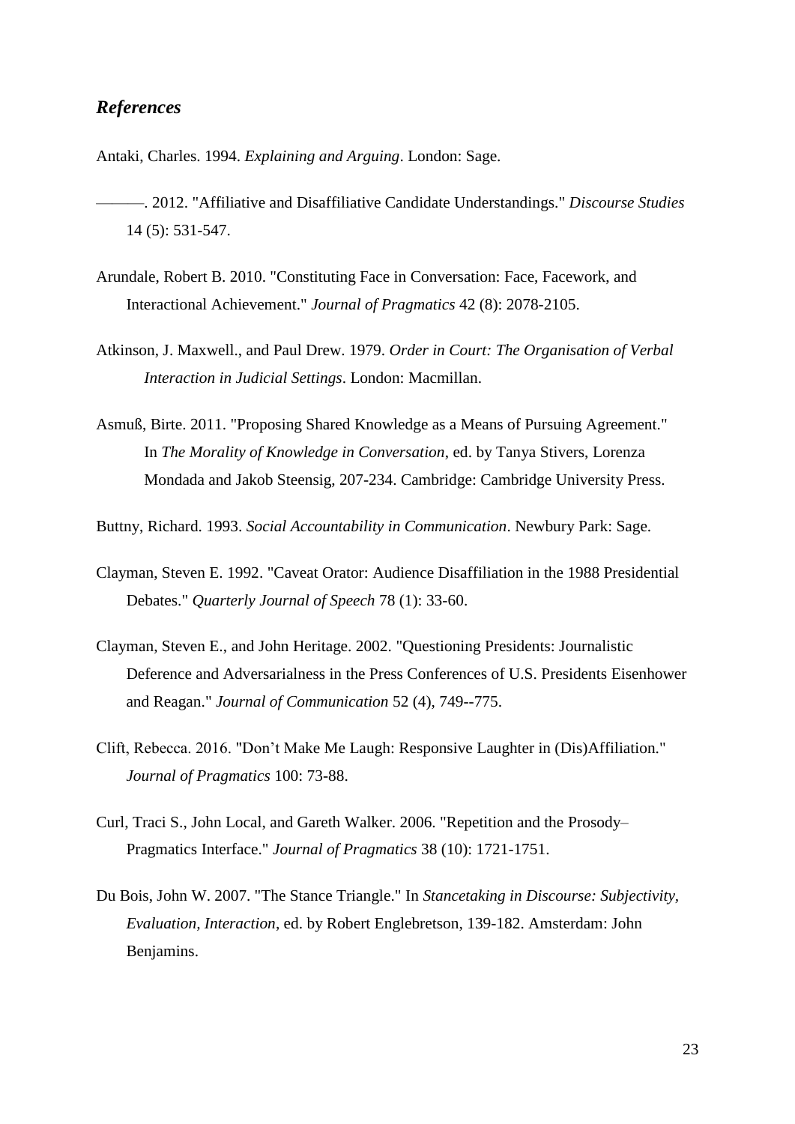## *References*

Antaki, Charles. 1994. *Explaining and Arguing*. London: Sage.

- ———. 2012. "Affiliative and Disaffiliative Candidate Understandings." *Discourse Studies* 14 (5): 531-547.
- Arundale, Robert B. 2010. "Constituting Face in Conversation: Face, Facework, and Interactional Achievement." *Journal of Pragmatics* 42 (8): 2078-2105.
- Atkinson, J. Maxwell., and Paul Drew. 1979. *Order in Court: The Organisation of Verbal Interaction in Judicial Settings*. London: Macmillan.
- Asmuß, Birte. 2011. "Proposing Shared Knowledge as a Means of Pursuing Agreement." In *The Morality of Knowledge in Conversation*, ed. by Tanya Stivers, Lorenza Mondada and Jakob Steensig, 207-234. Cambridge: Cambridge University Press.

Buttny, Richard. 1993. *Social Accountability in Communication*. Newbury Park: Sage.

- Clayman, Steven E. 1992. "Caveat Orator: Audience Disaffiliation in the 1988 Presidential Debates." *Quarterly Journal of Speech* 78 (1): 33-60.
- Clayman, Steven E., and John Heritage. 2002. "Questioning Presidents: Journalistic Deference and Adversarialness in the Press Conferences of U.S. Presidents Eisenhower and Reagan." *Journal of Communication* 52 (4), 749--775.
- Clift, Rebecca. 2016. "Don't Make Me Laugh: Responsive Laughter in (Dis)Affiliation." *Journal of Pragmatics* 100: 73-88.
- Curl, Traci S., John Local, and Gareth Walker. 2006. "Repetition and the Prosody– Pragmatics Interface." *Journal of Pragmatics* 38 (10): 1721-1751.
- Du Bois, John W. 2007. "The Stance Triangle." In *Stancetaking in Discourse: Subjectivity, Evaluation, Interaction*, ed. by Robert Englebretson, 139-182. Amsterdam: John Benjamins.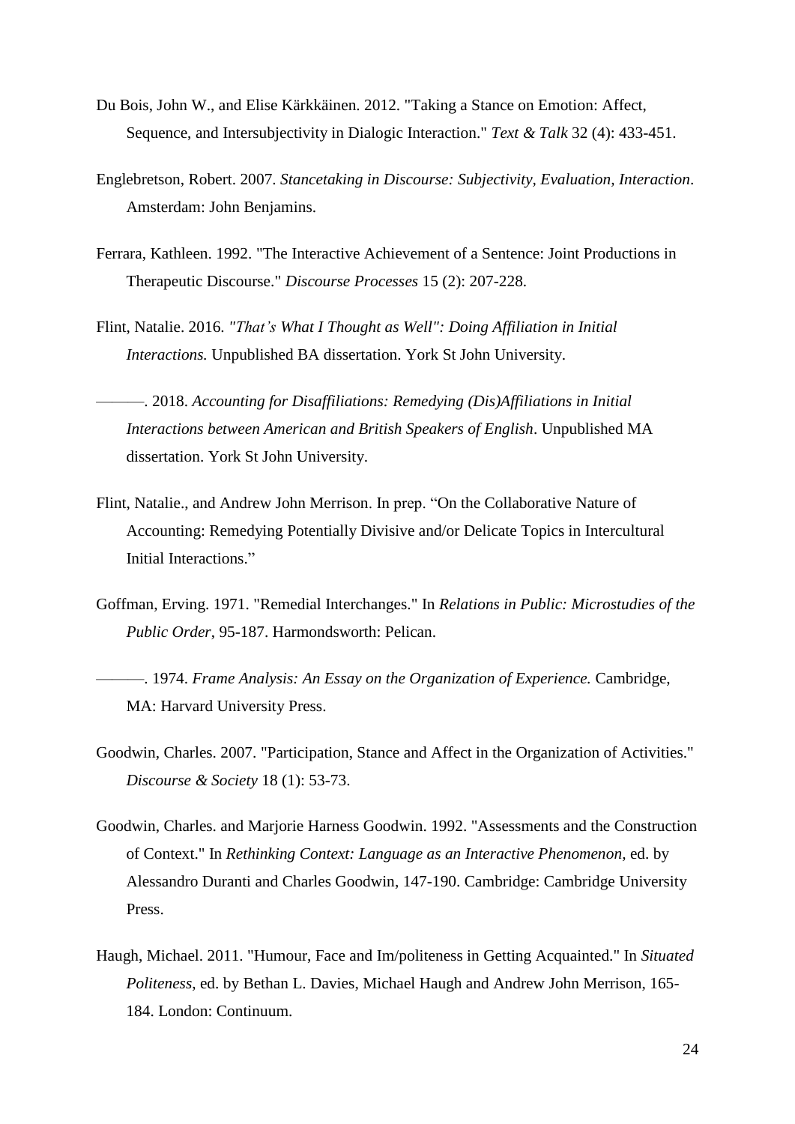- Du Bois, John W., and Elise Kärkkäinen. 2012. "Taking a Stance on Emotion: Affect, Sequence, and Intersubjectivity in Dialogic Interaction." *Text & Talk* 32 (4): 433-451.
- Englebretson, Robert. 2007. *Stancetaking in Discourse: Subjectivity, Evaluation, Interaction*. Amsterdam: John Benjamins.
- Ferrara, Kathleen. 1992. "The Interactive Achievement of a Sentence: Joint Productions in Therapeutic Discourse." *Discourse Processes* 15 (2): 207-228.
- Flint, Natalie. 2016. *"That's What I Thought as Well": Doing Affiliation in Initial Interactions.* Unpublished BA dissertation. York St John University.

———. 2018. *Accounting for Disaffiliations: Remedying (Dis)Affiliations in Initial Interactions between American and British Speakers of English*. Unpublished MA dissertation. York St John University.

- Flint, Natalie., and Andrew John Merrison. In prep. "On the Collaborative Nature of Accounting: Remedying Potentially Divisive and/or Delicate Topics in Intercultural Initial Interactions."
- Goffman, Erving. 1971. "Remedial Interchanges." In *Relations in Public: Microstudies of the Public Order*, 95-187. Harmondsworth: Pelican.
- ———. 1974. *Frame Analysis: An Essay on the Organization of Experience.* Cambridge, MA: Harvard University Press.
- Goodwin, Charles. 2007. "Participation, Stance and Affect in the Organization of Activities." *Discourse & Society* 18 (1): 53-73.
- Goodwin, Charles. and Marjorie Harness Goodwin. 1992. "Assessments and the Construction of Context." In *Rethinking Context: Language as an Interactive Phenomenon,* ed. by Alessandro Duranti and Charles Goodwin, 147-190. Cambridge: Cambridge University Press.
- Haugh, Michael. 2011. "Humour, Face and Im/politeness in Getting Acquainted." In *Situated Politeness*, ed. by Bethan L. Davies, Michael Haugh and Andrew John Merrison, 165- 184. London: Continuum.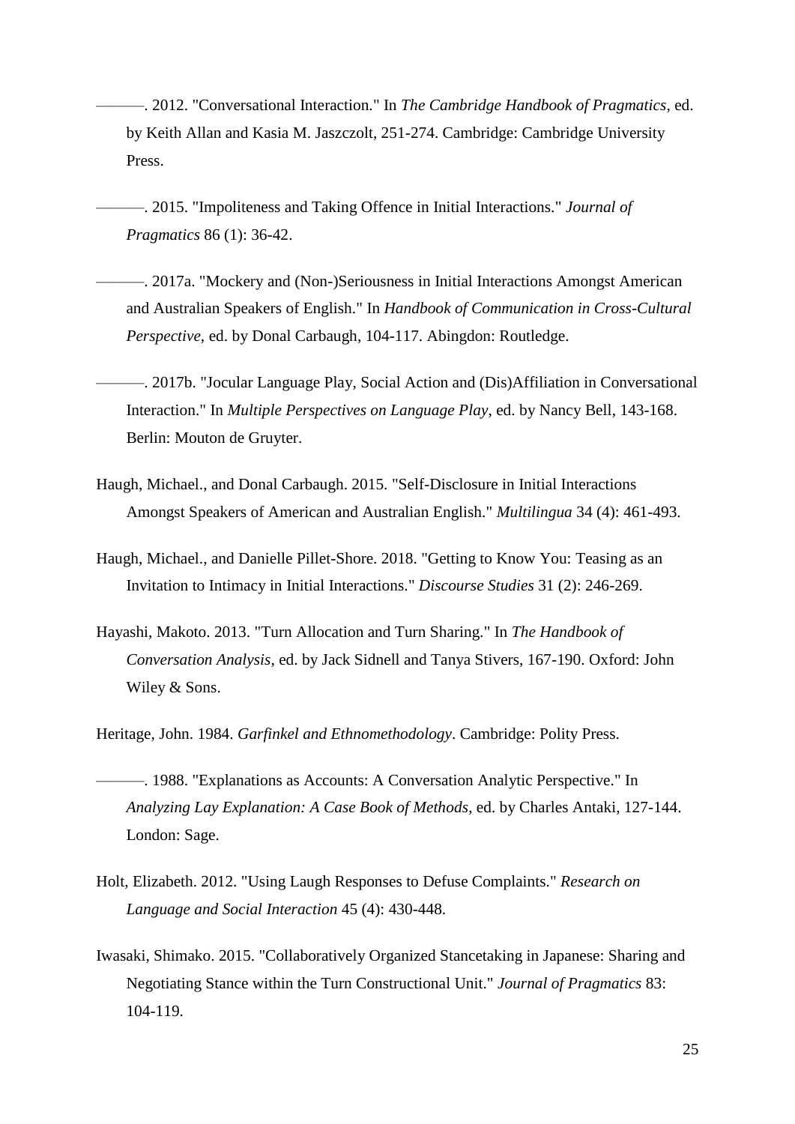- ———. 2012. "Conversational Interaction." In *The Cambridge Handbook of Pragmatics*, ed. by Keith Allan and Kasia M. Jaszczolt, 251-274. Cambridge: Cambridge University Press.
- ———. 2015. "Impoliteness and Taking Offence in Initial Interactions." *Journal of Pragmatics* 86 (1): 36-42.
- ———. 2017a. "Mockery and (Non-)Seriousness in Initial Interactions Amongst American and Australian Speakers of English." In *Handbook of Communication in Cross-Cultural Perspective*, ed. by Donal Carbaugh, 104-117. Abingdon: Routledge.
- ———. 2017b. "Jocular Language Play, Social Action and (Dis)Affiliation in Conversational Interaction." In *Multiple Perspectives on Language Play*, ed. by Nancy Bell, 143-168. Berlin: Mouton de Gruyter.
- Haugh, Michael., and Donal Carbaugh. 2015. "Self-Disclosure in Initial Interactions Amongst Speakers of American and Australian English." *Multilingua* 34 (4): 461-493.
- Haugh, Michael., and Danielle Pillet-Shore. 2018. "Getting to Know You: Teasing as an Invitation to Intimacy in Initial Interactions." *Discourse Studies* 31 (2): 246-269.
- Hayashi, Makoto. 2013. "Turn Allocation and Turn Sharing." In *The Handbook of Conversation Analysis*, ed. by Jack Sidnell and Tanya Stivers, 167-190. Oxford: John Wiley & Sons.

Heritage, John. 1984. *Garfinkel and Ethnomethodology*. Cambridge: Polity Press.

- ———. 1988. "Explanations as Accounts: A Conversation Analytic Perspective." In *Analyzing Lay Explanation: A Case Book of Methods*, ed. by Charles Antaki, 127-144. London: Sage.
- Holt, Elizabeth. 2012. "Using Laugh Responses to Defuse Complaints." *Research on Language and Social Interaction* 45 (4): 430-448.
- Iwasaki, Shimako. 2015. "Collaboratively Organized Stancetaking in Japanese: Sharing and Negotiating Stance within the Turn Constructional Unit." *Journal of Pragmatics* 83: 104-119.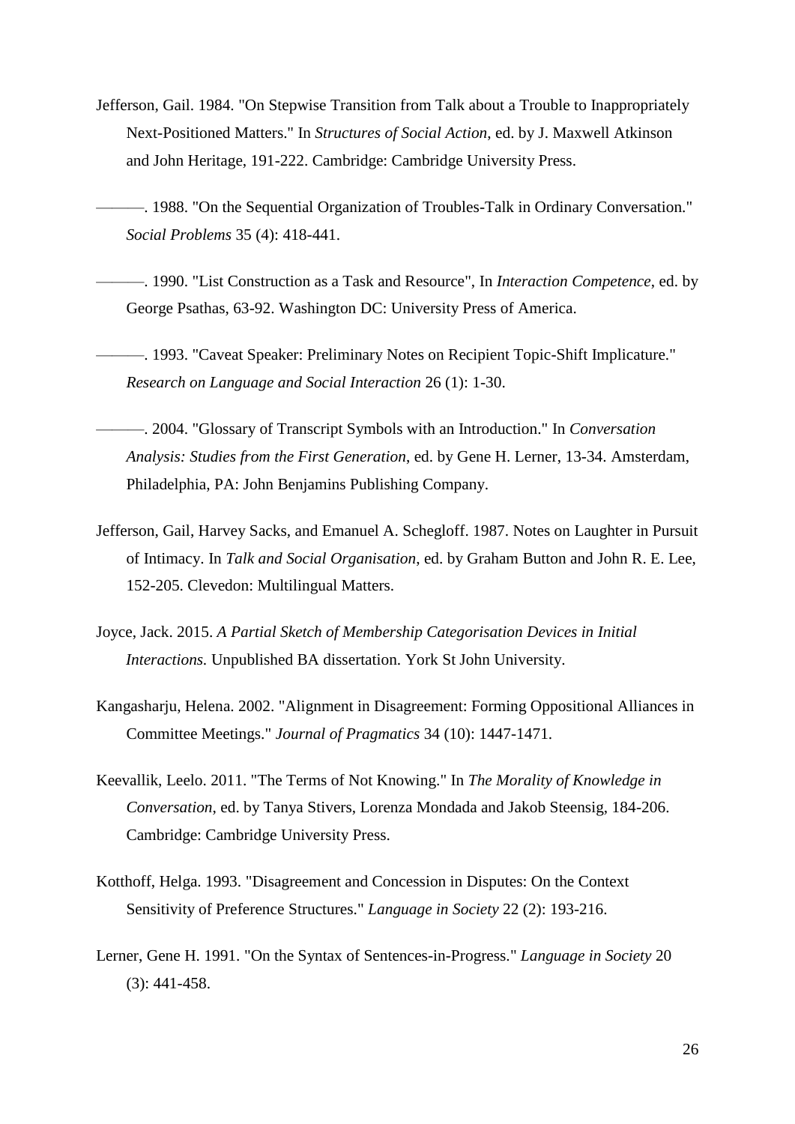- Jefferson, Gail. 1984. "On Stepwise Transition from Talk about a Trouble to Inappropriately Next-Positioned Matters." In *Structures of Social Action*, ed. by J. Maxwell Atkinson and John Heritage, 191-222. Cambridge: Cambridge University Press.
- ———. 1988. "On the Sequential Organization of Troubles-Talk in Ordinary Conversation." *Social Problems* 35 (4): 418-441.
- ———. 1990. "List Construction as a Task and Resource", In *Interaction Competence*, ed. by George Psathas, 63-92. Washington DC: University Press of America.
- ———. 1993. "Caveat Speaker: Preliminary Notes on Recipient Topic-Shift Implicature." *Research on Language and Social Interaction* 26 (1): 1-30.
- ———. 2004. "Glossary of Transcript Symbols with an Introduction." In *Conversation Analysis: Studies from the First Generation*, ed. by Gene H. Lerner, 13-34. Amsterdam, Philadelphia, PA: John Benjamins Publishing Company.
- Jefferson, Gail, Harvey Sacks, and Emanuel A. Schegloff. 1987. Notes on Laughter in Pursuit of Intimacy. In *Talk and Social Organisation*, ed. by Graham Button and John R. E. Lee, 152-205. Clevedon: Multilingual Matters.
- Joyce, Jack. 2015. *A Partial Sketch of Membership Categorisation Devices in Initial Interactions.* Unpublished BA dissertation. York St John University.
- Kangasharju, Helena. 2002. "Alignment in Disagreement: Forming Oppositional Alliances in Committee Meetings." *Journal of Pragmatics* 34 (10): 1447-1471.
- Keevallik, Leelo. 2011. "The Terms of Not Knowing." In *The Morality of Knowledge in Conversation*, ed. by Tanya Stivers, Lorenza Mondada and Jakob Steensig, 184-206. Cambridge: Cambridge University Press.
- Kotthoff, Helga. 1993. "Disagreement and Concession in Disputes: On the Context Sensitivity of Preference Structures." *Language in Society* 22 (2): 193-216.
- Lerner, Gene H. 1991. "On the Syntax of Sentences-in-Progress." *Language in Society* 20 (3): 441-458.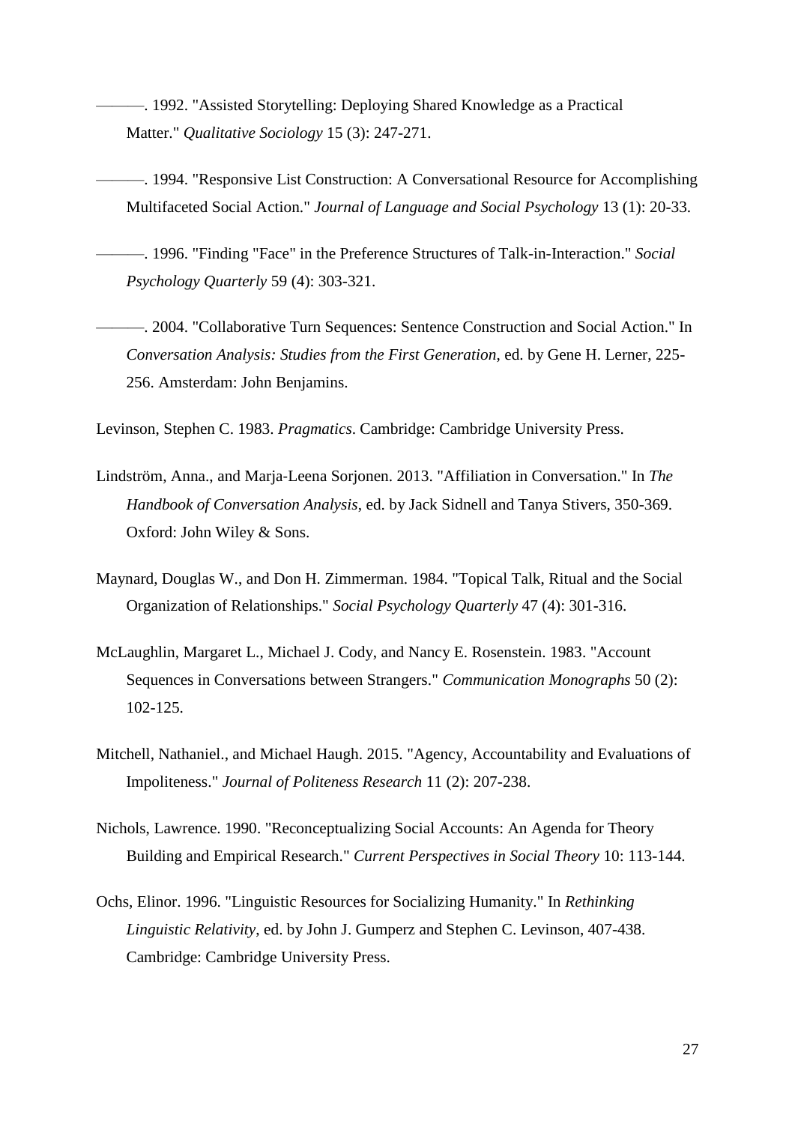- ———. 1992. "Assisted Storytelling: Deploying Shared Knowledge as a Practical Matter." *Qualitative Sociology* 15 (3): 247-271.
- ———. 1994. "Responsive List Construction: A Conversational Resource for Accomplishing Multifaceted Social Action." *Journal of Language and Social Psychology* 13 (1): 20-33.
- ———. 1996. "Finding "Face" in the Preference Structures of Talk-in-Interaction." *Social Psychology Quarterly* 59 (4): 303-321.
- ———. 2004. "Collaborative Turn Sequences: Sentence Construction and Social Action." In *Conversation Analysis: Studies from the First Generation*, ed. by Gene H. Lerner, 225- 256. Amsterdam: John Benjamins.

Levinson, Stephen C. 1983. *Pragmatics*. Cambridge: Cambridge University Press.

- Lindström, Anna., and Marja‐Leena Sorjonen. 2013. "Affiliation in Conversation." In *The Handbook of Conversation Analysis*, ed. by Jack Sidnell and Tanya Stivers, 350-369. Oxford: John Wiley & Sons.
- Maynard, Douglas W., and Don H. Zimmerman. 1984. "Topical Talk, Ritual and the Social Organization of Relationships." *Social Psychology Quarterly* 47 (4): 301-316.
- McLaughlin, Margaret L., Michael J. Cody, and Nancy E. Rosenstein. 1983. "Account Sequences in Conversations between Strangers." *Communication Monographs* 50 (2): 102-125.
- Mitchell, Nathaniel., and Michael Haugh. 2015. "Agency, Accountability and Evaluations of Impoliteness." *Journal of Politeness Research* 11 (2): 207-238.
- Nichols, Lawrence. 1990. "Reconceptualizing Social Accounts: An Agenda for Theory Building and Empirical Research." *Current Perspectives in Social Theory* 10: 113-144.
- Ochs, Elinor. 1996. "Linguistic Resources for Socializing Humanity." In *Rethinking Linguistic Relativity*, ed. by John J. Gumperz and Stephen C. Levinson, 407-438. Cambridge: Cambridge University Press.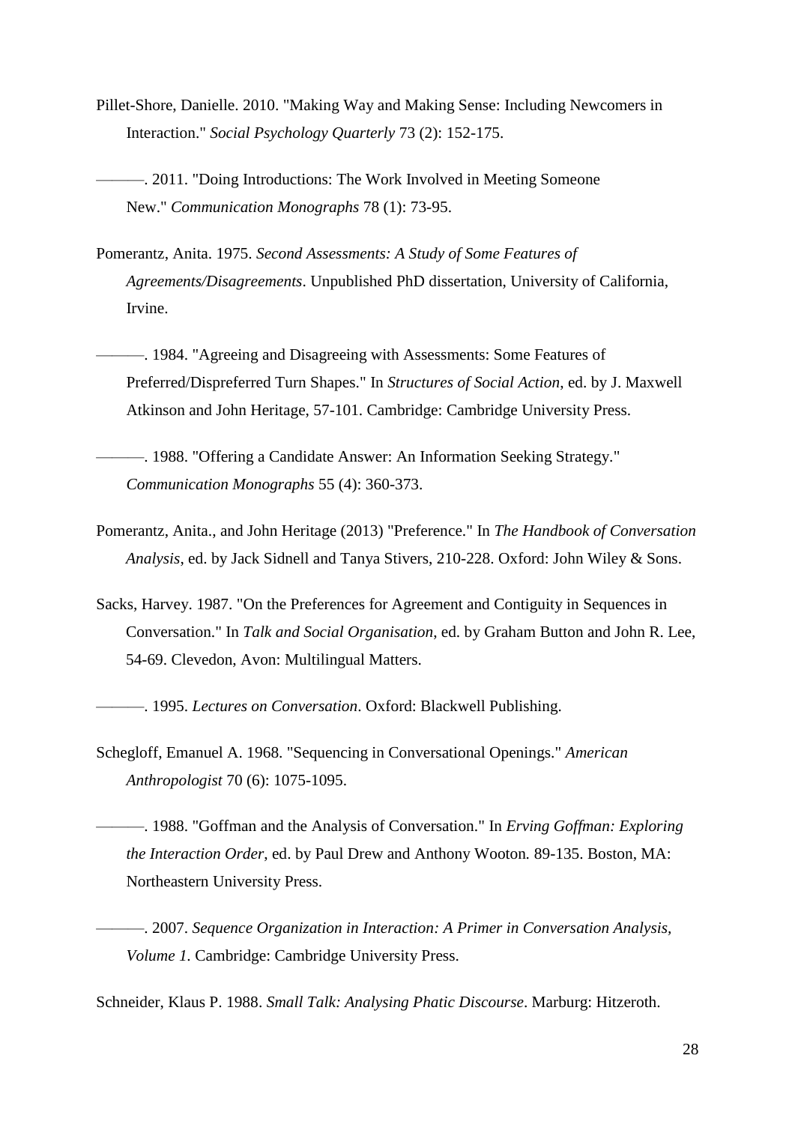- Pillet-Shore, Danielle. 2010. "Making Way and Making Sense: Including Newcomers in Interaction." *Social Psychology Quarterly* 73 (2): 152-175.
- ———. 2011. "Doing Introductions: The Work Involved in Meeting Someone New." *Communication Monographs* 78 (1): 73-95.
- Pomerantz, Anita. 1975. *Second Assessments: A Study of Some Features of Agreements/Disagreements*. Unpublished PhD dissertation, University of California, Irvine.
- ———. 1984. "Agreeing and Disagreeing with Assessments: Some Features of Preferred/Dispreferred Turn Shapes." In *Structures of Social Action*, ed. by J. Maxwell Atkinson and John Heritage, 57-101. Cambridge: Cambridge University Press.
- ———. 1988. "Offering a Candidate Answer: An Information Seeking Strategy." *Communication Monographs* 55 (4): 360-373.
- Pomerantz, Anita., and John Heritage (2013) "Preference." In *The Handbook of Conversation Analysis*, ed. by Jack Sidnell and Tanya Stivers, 210-228. Oxford: John Wiley & Sons.
- Sacks, Harvey. 1987. "On the Preferences for Agreement and Contiguity in Sequences in Conversation." In *Talk and Social Organisation*, ed. by Graham Button and John R. Lee, 54-69. Clevedon, Avon: Multilingual Matters.

———. 1995. *Lectures on Conversation*. Oxford: Blackwell Publishing.

- Schegloff, Emanuel A. 1968. "Sequencing in Conversational Openings." *American Anthropologist* 70 (6): 1075-1095.
- ———. 1988. "Goffman and the Analysis of Conversation." In *Erving Goffman: Exploring the Interaction Order*, ed. by Paul Drew and Anthony Wooton*.* 89-135. Boston, MA: Northeastern University Press.
- ———. 2007. *Sequence Organization in Interaction: A Primer in Conversation Analysis, Volume 1.* Cambridge: Cambridge University Press.

Schneider, Klaus P. 1988. *Small Talk: Analysing Phatic Discourse*. Marburg: Hitzeroth.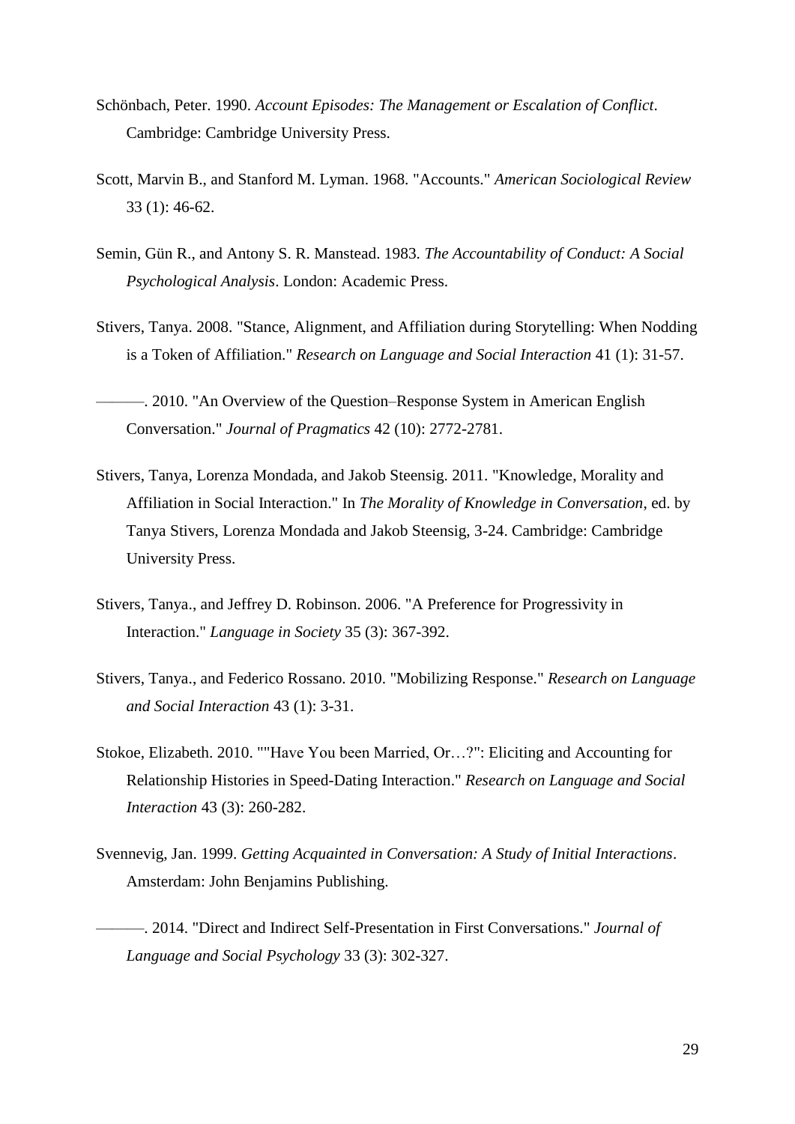- Schönbach, Peter. 1990. *Account Episodes: The Management or Escalation of Conflict*. Cambridge: Cambridge University Press.
- Scott, Marvin B., and Stanford M. Lyman. 1968. "Accounts." *American Sociological Review* 33 (1): 46-62.
- Semin, Gün R., and Antony S. R. Manstead. 1983. *The Accountability of Conduct: A Social Psychological Analysis*. London: Academic Press.
- Stivers, Tanya. 2008. "Stance, Alignment, and Affiliation during Storytelling: When Nodding is a Token of Affiliation." *Research on Language and Social Interaction* 41 (1): 31-57.
- ———. 2010. "An Overview of the Question–Response System in American English Conversation." *Journal of Pragmatics* 42 (10): 2772-2781.
- Stivers, Tanya, Lorenza Mondada, and Jakob Steensig. 2011. "Knowledge, Morality and Affiliation in Social Interaction." In *The Morality of Knowledge in Conversation*, ed. by Tanya Stivers, Lorenza Mondada and Jakob Steensig, 3-24. Cambridge: Cambridge University Press.
- Stivers, Tanya., and Jeffrey D. Robinson. 2006. "A Preference for Progressivity in Interaction." *Language in Society* 35 (3): 367-392.
- Stivers, Tanya., and Federico Rossano. 2010. "Mobilizing Response." *Research on Language and Social Interaction* 43 (1): 3-31.
- Stokoe, Elizabeth. 2010. ""Have You been Married, Or…?": Eliciting and Accounting for Relationship Histories in Speed-Dating Interaction." *Research on Language and Social Interaction* 43 (3): 260-282.
- Svennevig, Jan. 1999. *Getting Acquainted in Conversation: A Study of Initial Interactions*. Amsterdam: John Benjamins Publishing.
- ———. 2014. "Direct and Indirect Self-Presentation in First Conversations." *Journal of Language and Social Psychology* 33 (3): 302-327.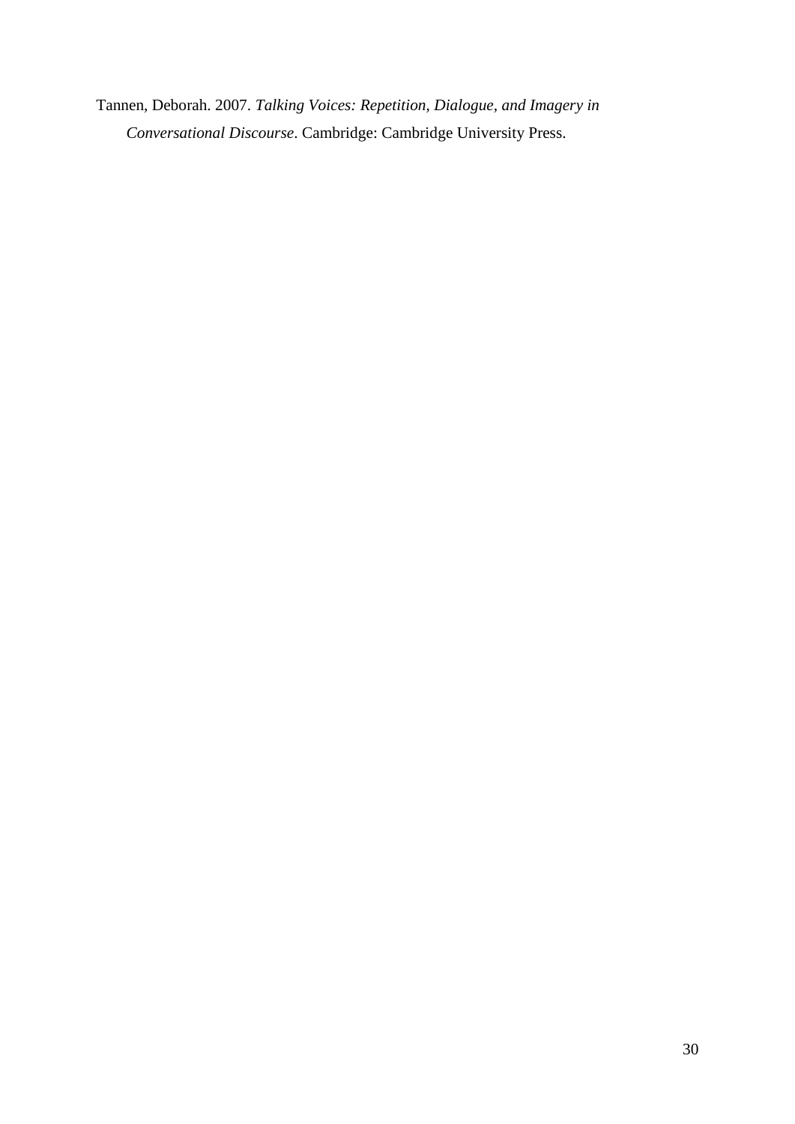Tannen, Deborah. 2007. *Talking Voices: Repetition, Dialogue, and Imagery in Conversational Discourse*. Cambridge: Cambridge University Press.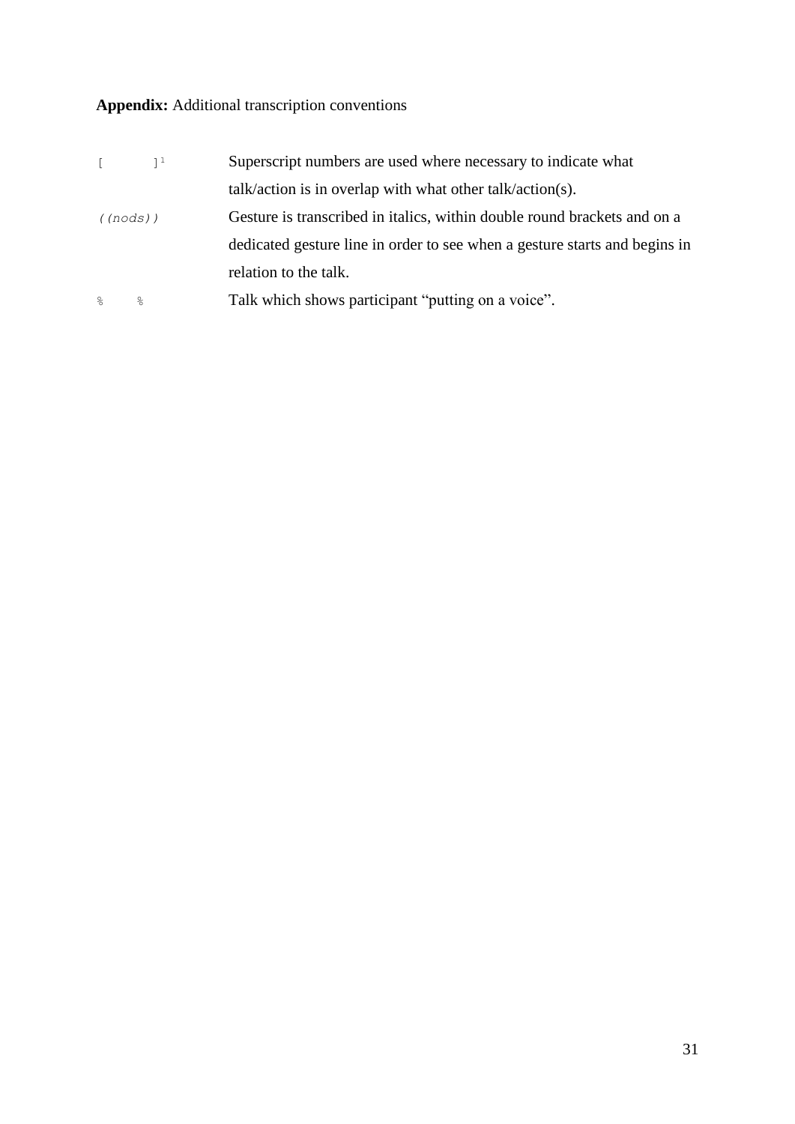## **Appendix:** Additional transcription conventions

| $\sqrt{2}$ | $1^1$ | Superscript numbers are used where necessary to indicate what              |
|------------|-------|----------------------------------------------------------------------------|
|            |       | $talk/action$ is in overlap with what other talk/action(s).                |
| ((nodes))  |       | Gesture is transcribed in italics, within double round brackets and on a   |
|            |       | dedicated gesture line in order to see when a gesture starts and begins in |
|            |       | relation to the talk.                                                      |
| $\approx$  | ⊱     | Talk which shows participant "putting on a voice".                         |